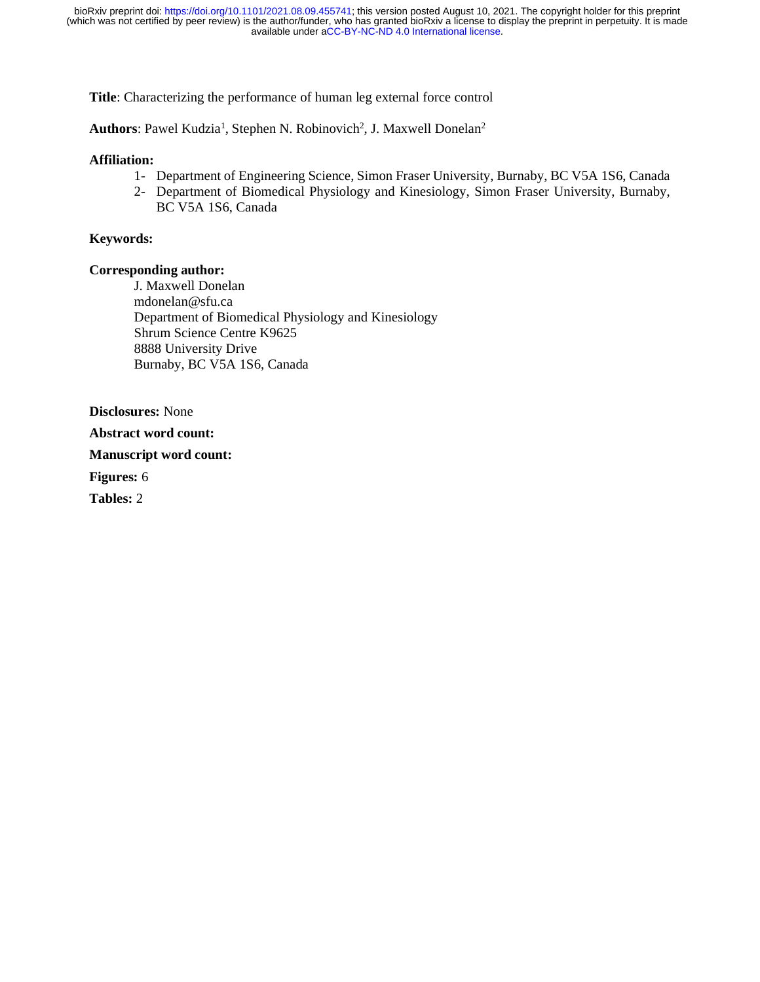**Title**: Characterizing the performance of human leg external force control

Authors: Pawel Kudzia<sup>1</sup>, Stephen N. Robinovich<sup>2</sup>, J. Maxwell Donelan<sup>2</sup>

### **Affiliation:**

- 1- Department of Engineering Science, Simon Fraser University, Burnaby, BC V5A 1S6, Canada
- 2- Department of Biomedical Physiology and Kinesiology, Simon Fraser University, Burnaby, BC V5A 1S6, Canada

### **Keywords:**

### **Corresponding author:**

J. Maxwell Donelan [mdonelan@sfu.ca](mailto:mdonelan@sfu.ca) Department of Biomedical Physiology and Kinesiology Shrum Science Centre K9625 8888 University Drive Burnaby, BC V5A 1S6, Canada

**Disclosures:** None

**Abstract word count:** 

**Manuscript word count:** 

**Figures:** 6

**Tables:** 2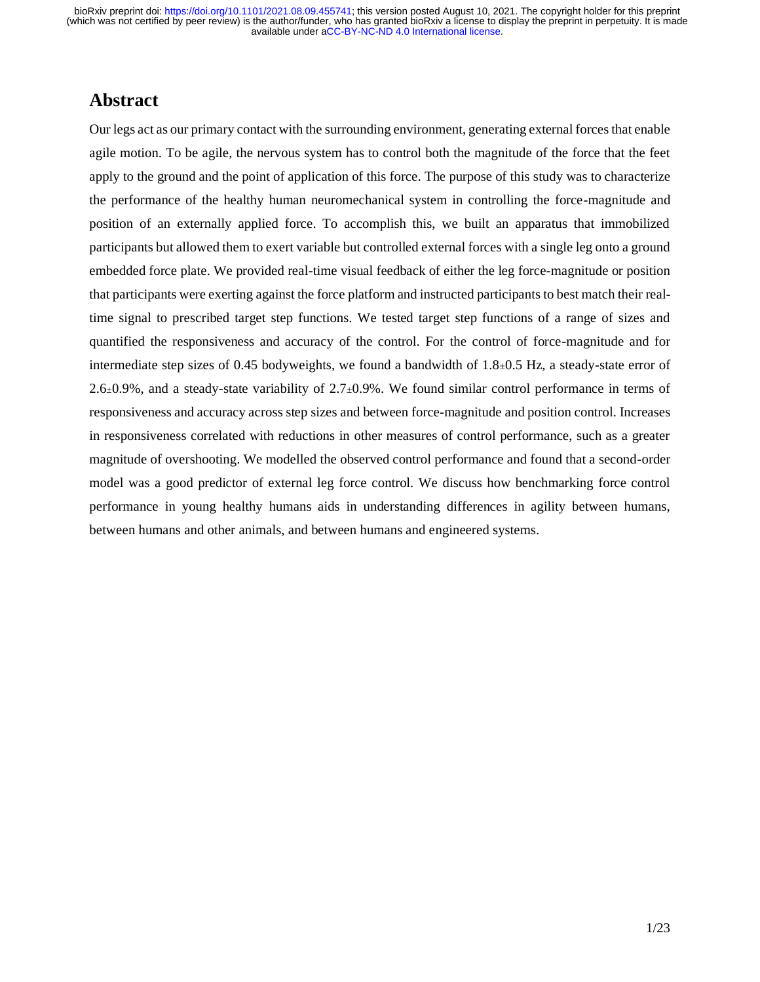## **Abstract**

Our legs act as our primary contact with the surrounding environment, generating external forces that enable agile motion. To be agile, the nervous system has to control both the magnitude of the force that the feet apply to the ground and the point of application of this force. The purpose of this study was to characterize the performance of the healthy human neuromechanical system in controlling the force-magnitude and position of an externally applied force. To accomplish this, we built an apparatus that immobilized participants but allowed them to exert variable but controlled external forces with a single leg onto a ground embedded force plate. We provided real-time visual feedback of either the leg force-magnitude or position that participants were exerting against the force platform and instructed participants to best match their realtime signal to prescribed target step functions. We tested target step functions of a range of sizes and quantified the responsiveness and accuracy of the control. For the control of force-magnitude and for intermediate step sizes of 0.45 bodyweights, we found a bandwidth of  $1.8\pm0.5$  Hz, a steady-state error of 2.6±0.9%, and a steady-state variability of 2.7±0.9%. We found similar control performance in terms of responsiveness and accuracy across step sizes and between force-magnitude and position control. Increases in responsiveness correlated with reductions in other measures of control performance, such as a greater magnitude of overshooting. We modelled the observed control performance and found that a second-order model was a good predictor of external leg force control. We discuss how benchmarking force control performance in young healthy humans aids in understanding differences in agility between humans, between humans and other animals, and between humans and engineered systems.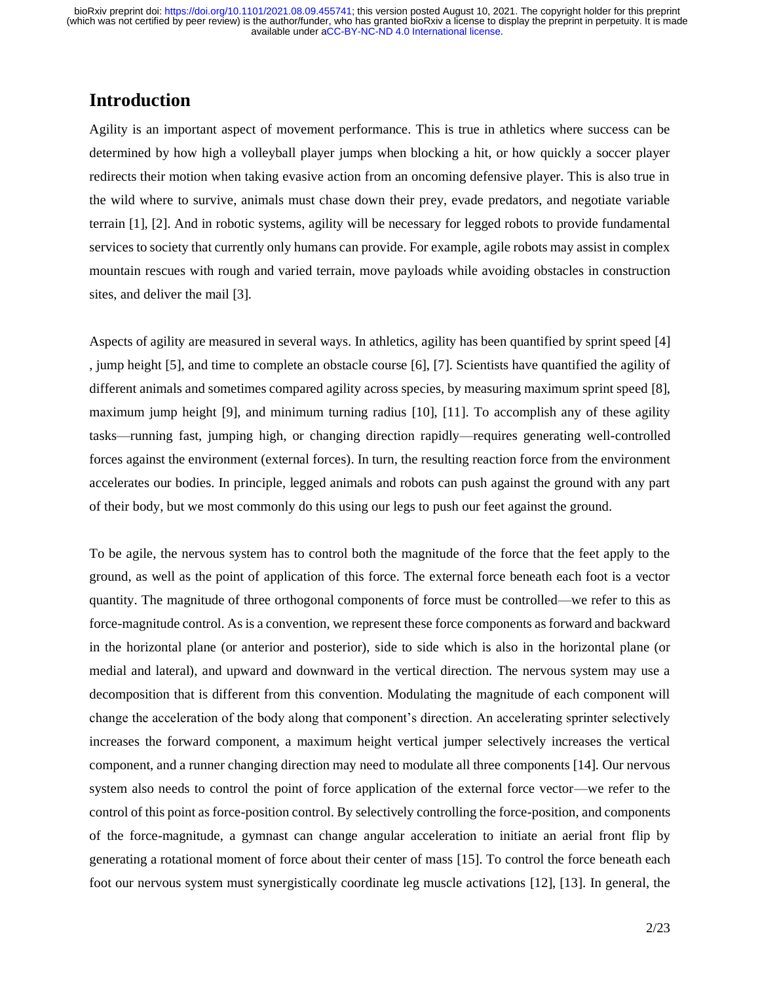# **Introduction**

Agility is an important aspect of movement performance. This is true in athletics where success can be determined by how high a volleyball player jumps when blocking a hit, or how quickly a soccer player redirects their motion when taking evasive action from an oncoming defensive player. This is also true in the wild where to survive, animals must chase down their prey, evade predators, and negotiate variable terrain [\[1\], \[2\].](https://paperpile.com/c/pRstxb/h3o2+6uCO) And in robotic systems, agility will be necessary for legged robots to provide fundamental services to society that currently only humans can provide. For example, agile robots may assist in complex mountain rescues with rough and varied terrain, move payloads while avoiding obstacles in construction sites, and deliver the mail [\[3\].](https://paperpile.com/c/pRstxb/b1W4) 

Aspects of agility are measured in several ways. In athletics, agility has been quantified by sprint speed [\[4\]](https://paperpile.com/c/pRstxb/sf6r) , jump height [\[5\],](https://paperpile.com/c/pRstxb/znxd) and time to complete an obstacle course [\[6\], \[7\].](https://paperpile.com/c/pRstxb/kLFU+caLR) Scientists have quantified the agility of different animals and sometimes compared agility across species, by measuring maximum sprint spee[d \[8\],](https://paperpile.com/c/pRstxb/dvbv) maximum jump height [\[9\],](https://paperpile.com/c/pRstxb/QxtF) and minimum turning radius [\[10\], \[11\].](https://paperpile.com/c/pRstxb/dimd+XUmf) To accomplish any of these agility tasks—running fast, jumping high, or changing direction rapidly—requires generating well-controlled forces against the environment (external forces). In turn, the resulting reaction force from the environment accelerates our bodies. In principle, legged animals and robots can push against the ground with any part of their body, but we most commonly do this using our legs to push our feet against the ground.

To be agile, the nervous system has to control both the magnitude of the force that the feet apply to the ground, as well as the point of application of this force. The external force beneath each foot is a vector quantity. The magnitude of three orthogonal components of force must be controlled—we refer to this as force-magnitude control. As is a convention, we represent these force components as forward and backward in the horizontal plane (or anterior and posterior), side to side which is also in the horizontal plane (or medial and lateral), and upward and downward in the vertical direction. The nervous system may use a decomposition that is different from this convention. Modulating the magnitude of each component will change the acceleration of the body along that component's direction. An accelerating sprinter selectively increases the forward component, a maximum height vertical jumper selectively increases the vertical component, and a runner changing direction may need to modulate all three components [\[14\].](https://paperpile.com/c/pRstxb/60wC) Our nervous system also needs to control the point of force application of the external force vector—we refer to the control of this point as force-position control. By selectively controlling the force-position, and components of the force-magnitude, a gymnast can change angular acceleration to initiate an aerial front flip by generating a rotational moment of force about their center of mass [\[15\].](https://paperpile.com/c/pRstxb/kaNP) To control the force beneath each foot our nervous system must synergistically coordinate leg muscle activations [\[12\], \[13\].](https://paperpile.com/c/pRstxb/CPM9+rA8z) In general, the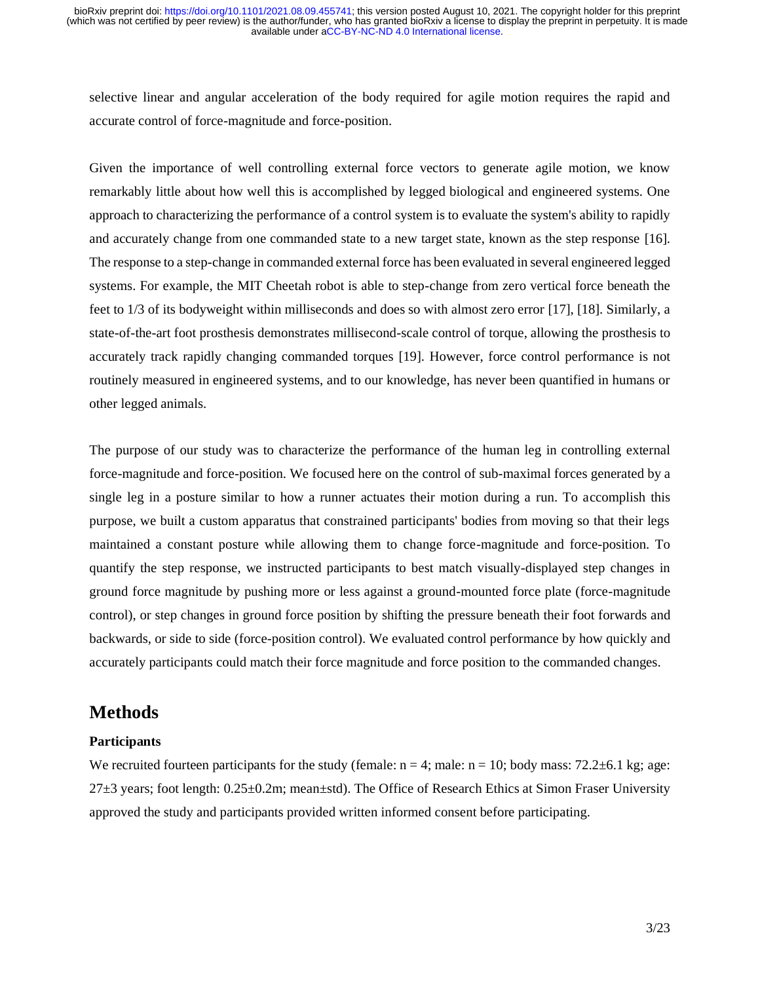selective linear and angular acceleration of the body required for agile motion requires the rapid and accurate control of force-magnitude and force-position.

Given the importance of well controlling external force vectors to generate agile motion, we know remarkably little about how well this is accomplished by legged biological and engineered systems. One approach to characterizing the performance of a control system is to evaluate the system's ability to rapidly and accurately change from one commanded state to a new target state, known as the step response [\[16\].](https://paperpile.com/c/pRstxb/ekc5) The response to a step-change in commanded external force has been evaluated in several engineered legged systems. For example, the MIT Cheetah robot is able to step-change from zero vertical force beneath the feet to 1/3 of its bodyweight within milliseconds and does so with almost zero error [\[17\], \[18\].](https://paperpile.com/c/pRstxb/yFobs+JxKz) Similarly, a state-of-the-art foot prosthesis demonstrates millisecond-scale control of torque, allowing the prosthesis to accurately track rapidly changing commanded torques [\[19\].](https://paperpile.com/c/pRstxb/vdj3) However, force control performance is not routinely measured in engineered systems, and to our knowledge, has never been quantified in humans or other legged animals.

The purpose of our study was to characterize the performance of the human leg in controlling external force-magnitude and force-position. We focused here on the control of sub-maximal forces generated by a single leg in a posture similar to how a runner actuates their motion during a run. To accomplish this purpose, we built a custom apparatus that constrained participants' bodies from moving so that their legs maintained a constant posture while allowing them to change force-magnitude and force-position. To quantify the step response, we instructed participants to best match visually-displayed step changes in ground force magnitude by pushing more or less against a ground-mounted force plate (force-magnitude control), or step changes in ground force position by shifting the pressure beneath their foot forwards and backwards, or side to side (force-position control). We evaluated control performance by how quickly and accurately participants could match their force magnitude and force position to the commanded changes.

## **Methods**

### **Participants**

We recruited fourteen participants for the study (female:  $n = 4$ ; male:  $n = 10$ ; body mass: 72.2 $\pm$ 6.1 kg; age:  $27\pm3$  years; foot length:  $0.25\pm0.2$ m; mean $\pm$ std). The Office of Research Ethics at Simon Fraser University approved the study and participants provided written informed consent before participating.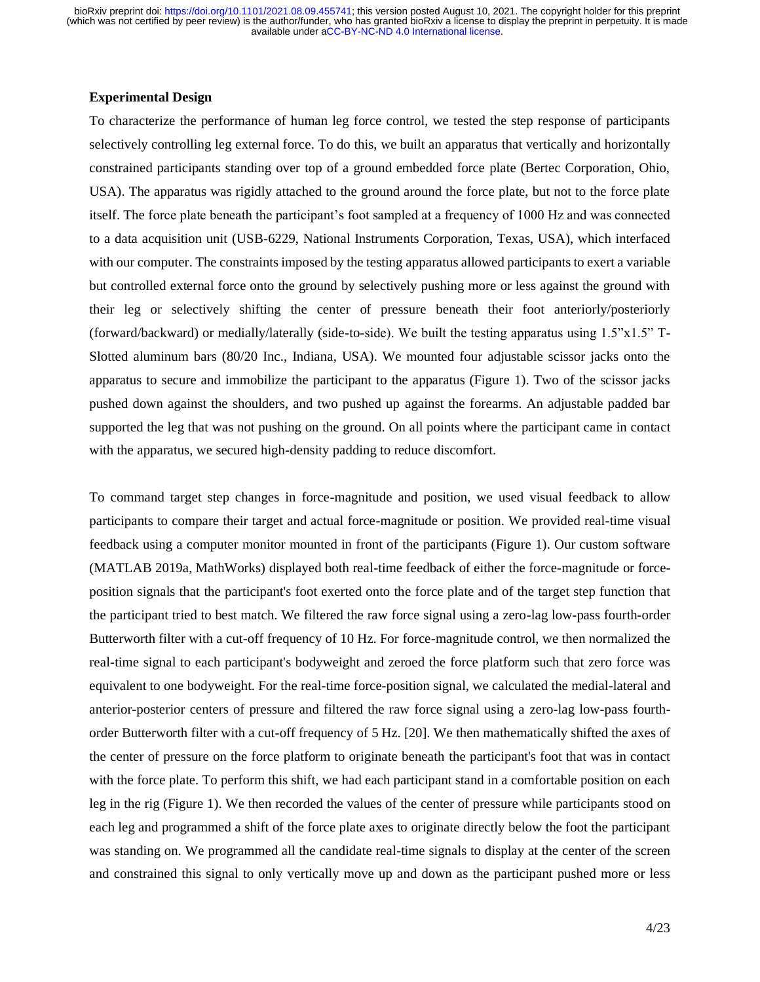#### **Experimental Design**

To characterize the performance of human leg force control, we tested the step response of participants selectively controlling leg external force. To do this, we built an apparatus that vertically and horizontally constrained participants standing over top of a ground embedded force plate (Bertec Corporation, Ohio, USA). The apparatus was rigidly attached to the ground around the force plate, but not to the force plate itself. The force plate beneath the participant's foot sampled at a frequency of 1000 Hz and was connected to a data acquisition unit (USB-6229, National Instruments Corporation, Texas, USA), which interfaced with our computer. The constraints imposed by the testing apparatus allowed participants to exert a variable but controlled external force onto the ground by selectively pushing more or less against the ground with their leg or selectively shifting the center of pressure beneath their foot anteriorly/posteriorly (forward/backward) or medially/laterally (side-to-side). We built the testing apparatus using 1.5"x1.5" T-Slotted aluminum bars (80/20 Inc., Indiana, USA). We mounted four adjustable scissor jacks onto the apparatus to secure and immobilize the participant to the apparatus (Figure 1). Two of the scissor jacks pushed down against the shoulders, and two pushed up against the forearms. An adjustable padded bar supported the leg that was not pushing on the ground. On all points where the participant came in contact with the apparatus, we secured high-density padding to reduce discomfort.

To command target step changes in force-magnitude and position, we used visual feedback to allow participants to compare their target and actual force-magnitude or position. We provided real-time visual feedback using a computer monitor mounted in front of the participants (Figure 1). Our custom software (MATLAB 2019a, MathWorks) displayed both real-time feedback of either the force-magnitude or forceposition signals that the participant's foot exerted onto the force plate and of the target step function that the participant tried to best match. We filtered the raw force signal using a zero-lag low-pass fourth-order Butterworth filter with a cut-off frequency of 10 Hz. For force-magnitude control, we then normalized the real-time signal to each participant's bodyweight and zeroed the force platform such that zero force was equivalent to one bodyweight. For the real-time force-position signal, we calculated the medial-lateral and anterior-posterior centers of pressure and filtered the raw force signal using a zero-lag low-pass fourthorder Butterworth filter with a cut-off frequency of 5 Hz[. \[20\].](https://paperpile.com/c/pRstxb/pO7ox) We then mathematically shifted the axes of the center of pressure on the force platform to originate beneath the participant's foot that was in contact with the force plate. To perform this shift, we had each participant stand in a comfortable position on each leg in the rig (Figure 1). We then recorded the values of the center of pressure while participants stood on each leg and programmed a shift of the force plate axes to originate directly below the foot the participant was standing on. We programmed all the candidate real-time signals to display at the center of the screen and constrained this signal to only vertically move up and down as the participant pushed more or less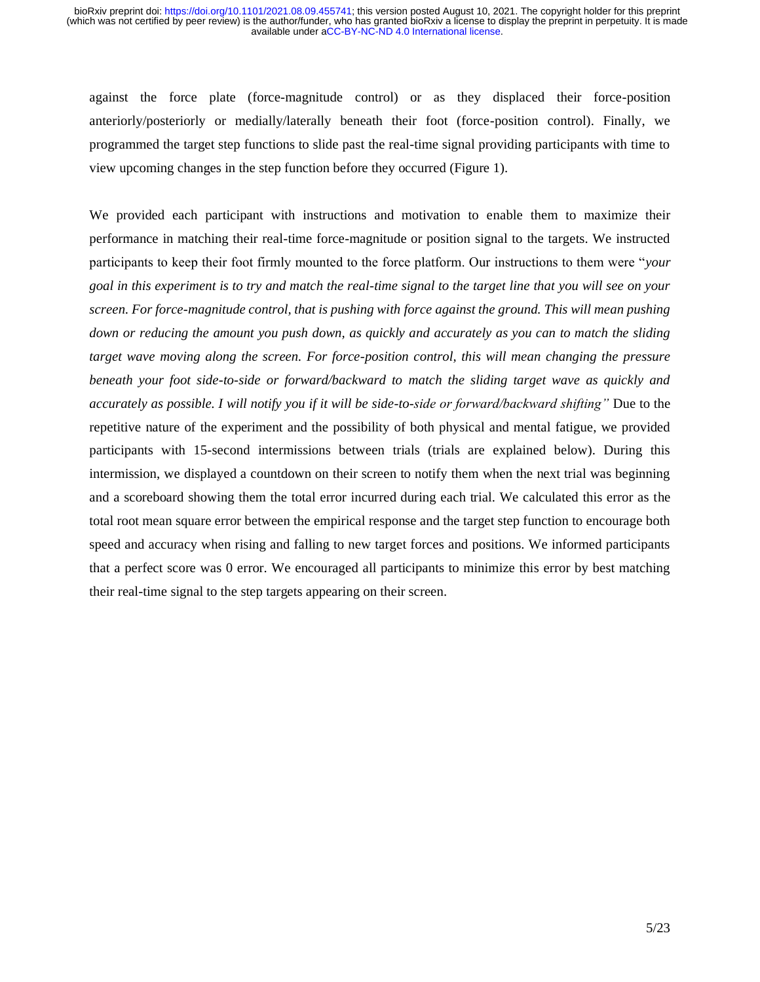against the force plate (force-magnitude control) or as they displaced their force-position anteriorly/posteriorly or medially/laterally beneath their foot (force-position control). Finally, we programmed the target step functions to slide past the real-time signal providing participants with time to view upcoming changes in the step function before they occurred (Figure 1).

We provided each participant with instructions and motivation to enable them to maximize their performance in matching their real-time force-magnitude or position signal to the targets. We instructed participants to keep their foot firmly mounted to the force platform. Our instructions to them were "*your goal in this experiment is to try and match the real-time signal to the target line that you will see on your screen. For force-magnitude control, that is pushing with force against the ground. This will mean pushing down or reducing the amount you push down, as quickly and accurately as you can to match the sliding target wave moving along the screen. For force-position control, this will mean changing the pressure beneath your foot side-to-side or forward/backward to match the sliding target wave as quickly and accurately as possible. I will notify you if it will be side-to-side or forward/backward shifting"* Due to the repetitive nature of the experiment and the possibility of both physical and mental fatigue, we provided participants with 15-second intermissions between trials (trials are explained below). During this intermission, we displayed a countdown on their screen to notify them when the next trial was beginning and a scoreboard showing them the total error incurred during each trial. We calculated this error as the total root mean square error between the empirical response and the target step function to encourage both speed and accuracy when rising and falling to new target forces and positions. We informed participants that a perfect score was 0 error. We encouraged all participants to minimize this error by best matching their real-time signal to the step targets appearing on their screen.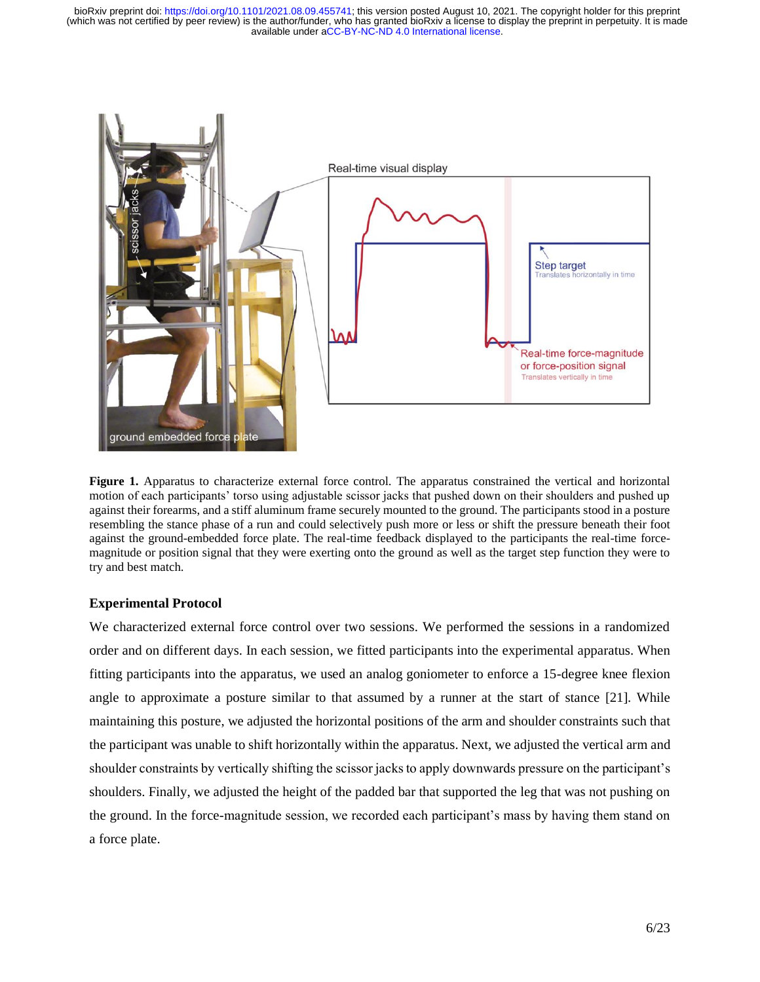

**Figure 1.** Apparatus to characterize external force control. The apparatus constrained the vertical and horizontal motion of each participants' torso using adjustable scissor jacks that pushed down on their shoulders and pushed up against their forearms, and a stiff aluminum frame securely mounted to the ground. The participants stood in a posture resembling the stance phase of a run and could selectively push more or less or shift the pressure beneath their foot against the ground-embedded force plate. The real-time feedback displayed to the participants the real-time forcemagnitude or position signal that they were exerting onto the ground as well as the target step function they were to try and best match.

#### **Experimental Protocol**

We characterized external force control over two sessions. We performed the sessions in a randomized order and on different days. In each session, we fitted participants into the experimental apparatus. When fitting participants into the apparatus, we used an analog goniometer to enforce a 15-degree knee flexion angle to approximate a posture similar to that assumed by a runner at the start of stance [\[21\].](https://paperpile.com/c/pRstxb/itxyM) While maintaining this posture, we adjusted the horizontal positions of the arm and shoulder constraints such that the participant was unable to shift horizontally within the apparatus. Next, we adjusted the vertical arm and shoulder constraints by vertically shifting the scissor jacks to apply downwards pressure on the participant's shoulders. Finally, we adjusted the height of the padded bar that supported the leg that was not pushing on the ground. In the force-magnitude session, we recorded each participant's mass by having them stand on a force plate.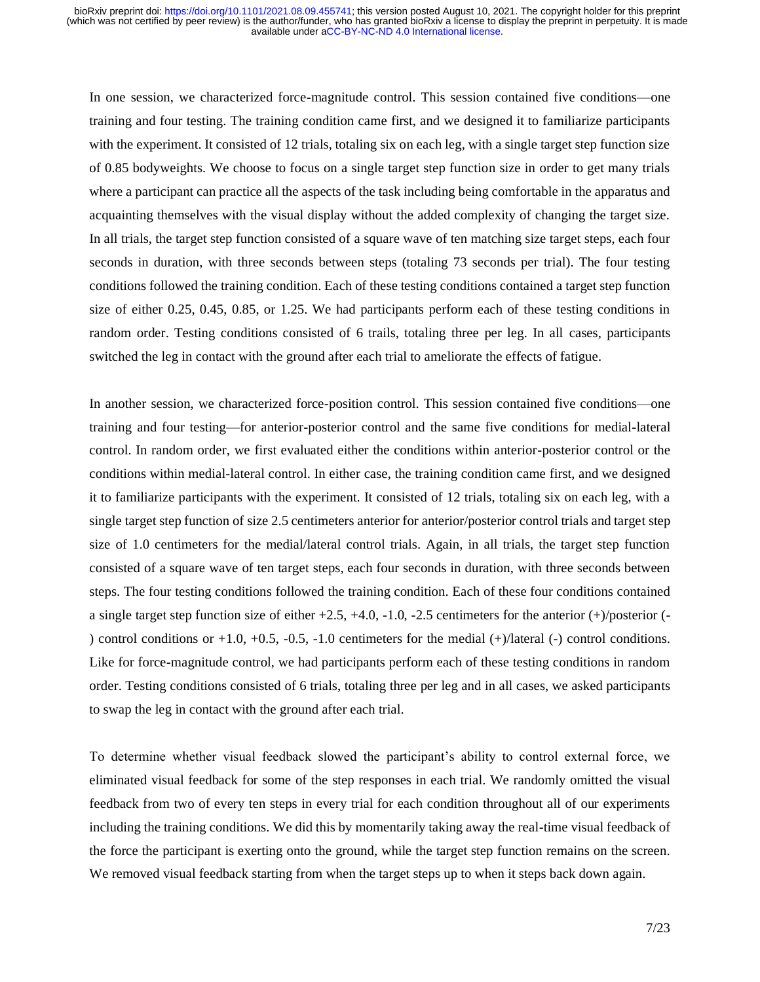In one session, we characterized force-magnitude control. This session contained five conditions—one training and four testing. The training condition came first, and we designed it to familiarize participants with the experiment. It consisted of 12 trials, totaling six on each leg, with a single target step function size of 0.85 bodyweights. We choose to focus on a single target step function size in order to get many trials where a participant can practice all the aspects of the task including being comfortable in the apparatus and acquainting themselves with the visual display without the added complexity of changing the target size. In all trials, the target step function consisted of a square wave of ten matching size target steps, each four seconds in duration, with three seconds between steps (totaling 73 seconds per trial). The four testing conditions followed the training condition. Each of these testing conditions contained a target step function size of either 0.25, 0.45, 0.85, or 1.25. We had participants perform each of these testing conditions in random order. Testing conditions consisted of 6 trails, totaling three per leg. In all cases, participants switched the leg in contact with the ground after each trial to ameliorate the effects of fatigue.

In another session, we characterized force-position control. This session contained five conditions—one training and four testing—for anterior-posterior control and the same five conditions for medial-lateral control. In random order, we first evaluated either the conditions within anterior-posterior control or the conditions within medial-lateral control. In either case, the training condition came first, and we designed it to familiarize participants with the experiment. It consisted of 12 trials, totaling six on each leg, with a single target step function of size 2.5 centimeters anterior for anterior/posterior control trials and target step size of 1.0 centimeters for the medial/lateral control trials. Again, in all trials, the target step function consisted of a square wave of ten target steps, each four seconds in duration, with three seconds between steps. The four testing conditions followed the training condition. Each of these four conditions contained a single target step function size of either  $+2.5$ ,  $+4.0$ ,  $-1.0$ ,  $-2.5$  centimeters for the anterior  $(+)$ /posterior  $(-)$ ) control conditions or  $+1.0$ ,  $+0.5$ ,  $-0.5$ ,  $-1.0$  centimeters for the medial  $(+)/$ lateral  $(-)$  control conditions. Like for force-magnitude control, we had participants perform each of these testing conditions in random order. Testing conditions consisted of 6 trials, totaling three per leg and in all cases, we asked participants to swap the leg in contact with the ground after each trial.

To determine whether visual feedback slowed the participant's ability to control external force, we eliminated visual feedback for some of the step responses in each trial. We randomly omitted the visual feedback from two of every ten steps in every trial for each condition throughout all of our experiments including the training conditions. We did this by momentarily taking away the real-time visual feedback of the force the participant is exerting onto the ground, while the target step function remains on the screen. We removed visual feedback starting from when the target steps up to when it steps back down again.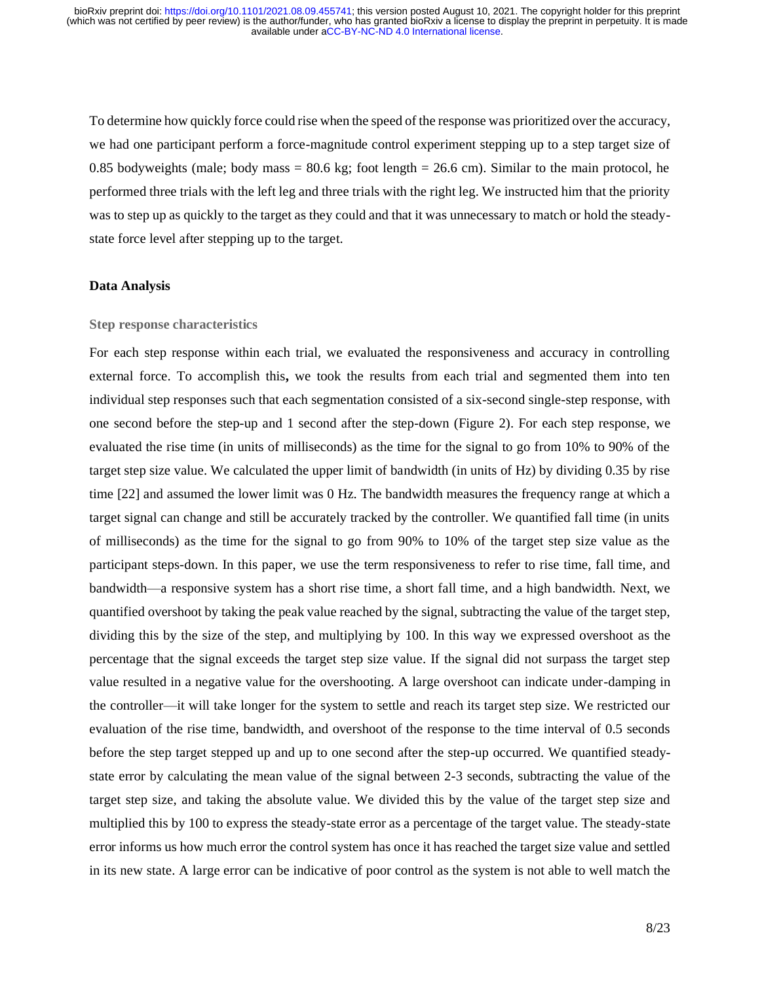To determine how quickly force could rise when the speed of the response was prioritized over the accuracy, we had one participant perform a force-magnitude control experiment stepping up to a step target size of 0.85 bodyweights (male; body mass  $= 80.6$  kg; foot length  $= 26.6$  cm). Similar to the main protocol, he performed three trials with the left leg and three trials with the right leg. We instructed him that the priority was to step up as quickly to the target as they could and that it was unnecessary to match or hold the steadystate force level after stepping up to the target.

#### **Data Analysis**

#### **Step response characteristics**

For each step response within each trial, we evaluated the responsiveness and accuracy in controlling external force. To accomplish this**,** we took the results from each trial and segmented them into ten individual step responses such that each segmentation consisted of a six-second single-step response, with one second before the step-up and 1 second after the step-down (Figure 2). For each step response, we evaluated the rise time (in units of milliseconds) as the time for the signal to go from 10% to 90% of the target step size value. We calculated the upper limit of bandwidth (in units of Hz) by dividing 0.35 by rise time [\[22\]](https://paperpile.com/c/pRstxb/HARV5) and assumed the lower limit was 0 Hz. The bandwidth measures the frequency range at which a target signal can change and still be accurately tracked by the controller. We quantified fall time (in units of milliseconds) as the time for the signal to go from 90% to 10% of the target step size value as the participant steps-down. In this paper, we use the term responsiveness to refer to rise time, fall time, and bandwidth—a responsive system has a short rise time, a short fall time, and a high bandwidth. Next, we quantified overshoot by taking the peak value reached by the signal, subtracting the value of the target step, dividing this by the size of the step, and multiplying by 100. In this way we expressed overshoot as the percentage that the signal exceeds the target step size value. If the signal did not surpass the target step value resulted in a negative value for the overshooting. A large overshoot can indicate under-damping in the controller—it will take longer for the system to settle and reach its target step size. We restricted our evaluation of the rise time, bandwidth, and overshoot of the response to the time interval of 0.5 seconds before the step target stepped up and up to one second after the step-up occurred. We quantified steadystate error by calculating the mean value of the signal between 2-3 seconds, subtracting the value of the target step size, and taking the absolute value. We divided this by the value of the target step size and multiplied this by 100 to express the steady-state error as a percentage of the target value. The steady-state error informs us how much error the control system has once it has reached the target size value and settled in its new state. A large error can be indicative of poor control as the system is not able to well match the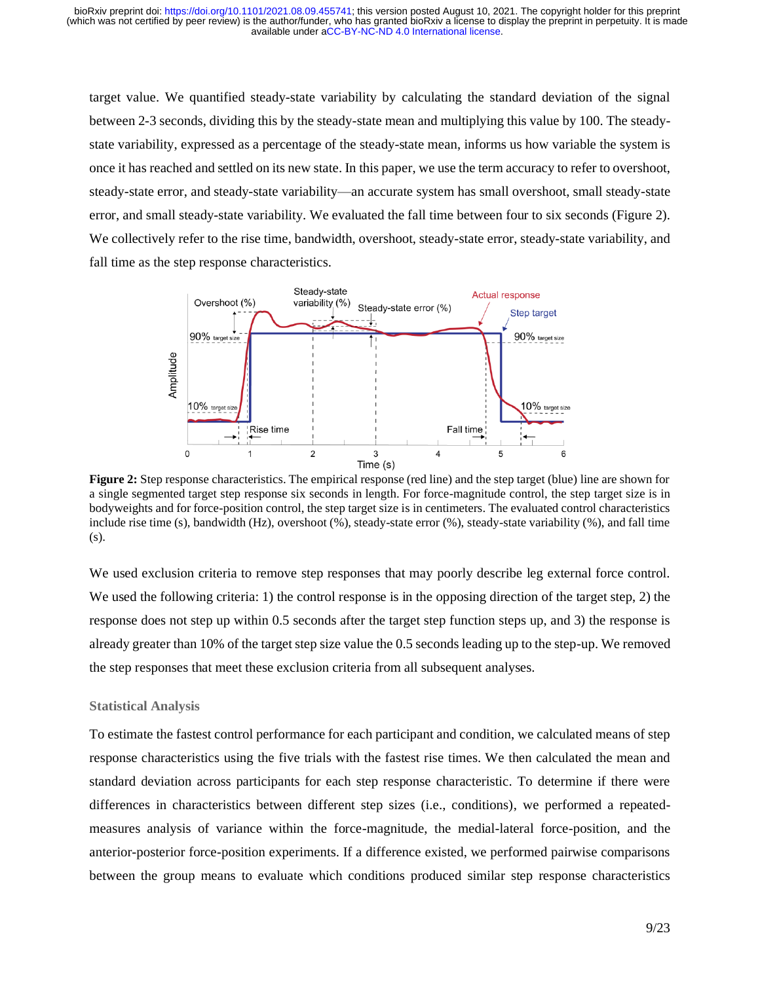target value. We quantified steady-state variability by calculating the standard deviation of the signal between 2-3 seconds, dividing this by the steady-state mean and multiplying this value by 100. The steadystate variability, expressed as a percentage of the steady-state mean, informs us how variable the system is once it has reached and settled on its new state. In this paper, we use the term accuracy to refer to overshoot, steady-state error, and steady-state variability—an accurate system has small overshoot, small steady-state error, and small steady-state variability. We evaluated the fall time between four to six seconds (Figure 2). We collectively refer to the rise time, bandwidth, overshoot, steady-state error, steady-state variability, and fall time as the step response characteristics.



**Figure 2:** Step response characteristics. The empirical response (red line) and the step target (blue) line are shown for a single segmented target step response six seconds in length. For force-magnitude control, the step target size is in bodyweights and for force-position control, the step target size is in centimeters. The evaluated control characteristics include rise time (s), bandwidth (Hz), overshoot (%), steady-state error (%), steady-state variability (%), and fall time (s).

We used exclusion criteria to remove step responses that may poorly describe leg external force control. We used the following criteria: 1) the control response is in the opposing direction of the target step, 2) the response does not step up within 0.5 seconds after the target step function steps up, and 3) the response is already greater than 10% of the target step size value the 0.5 seconds leading up to the step-up. We removed the step responses that meet these exclusion criteria from all subsequent analyses.

#### **Statistical Analysis**

To estimate the fastest control performance for each participant and condition, we calculated means of step response characteristics using the five trials with the fastest rise times. We then calculated the mean and standard deviation across participants for each step response characteristic. To determine if there were differences in characteristics between different step sizes (i.e., conditions), we performed a repeatedmeasures analysis of variance within the force-magnitude, the medial-lateral force-position, and the anterior-posterior force-position experiments. If a difference existed, we performed pairwise comparisons between the group means to evaluate which conditions produced similar step response characteristics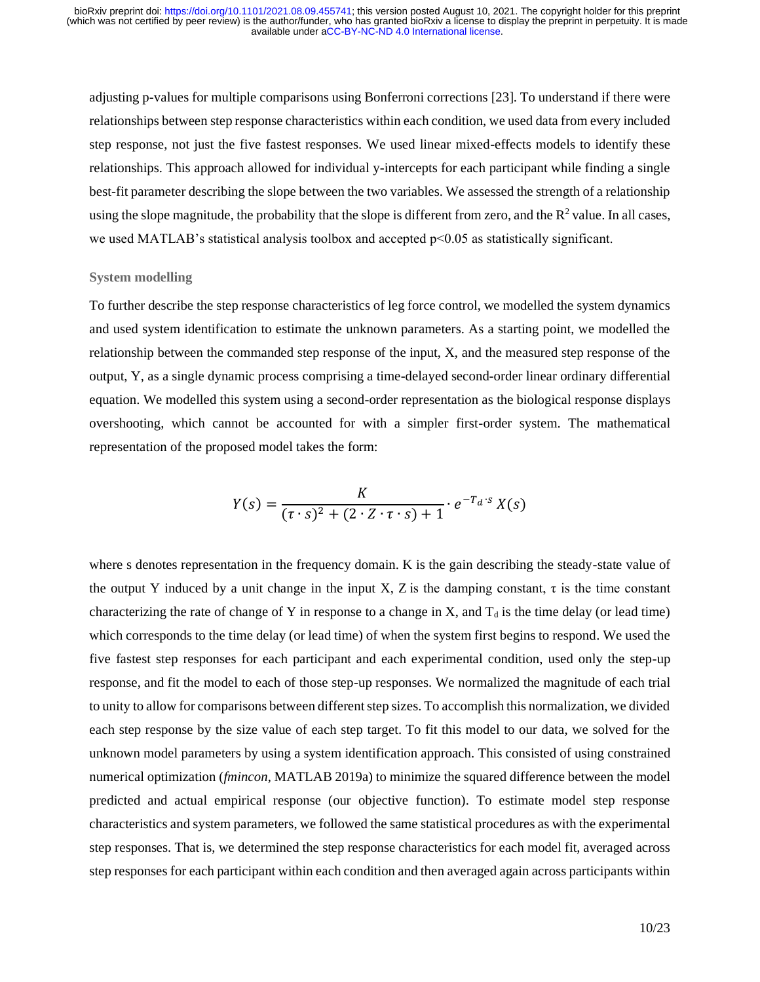adjusting p-values for multiple comparisons using Bonferroni corrections [\[23\].](https://paperpile.com/c/pRstxb/NvAH) To understand if there were relationships between step response characteristics within each condition, we used data from every included step response, not just the five fastest responses. We used linear mixed-effects models to identify these relationships. This approach allowed for individual y-intercepts for each participant while finding a single best-fit parameter describing the slope between the two variables. We assessed the strength of a relationship using the slope magnitude, the probability that the slope is different from zero, and the  $R^2$  value. In all cases, we used MATLAB's statistical analysis toolbox and accepted p<0.05 as statistically significant.

#### **System modelling**

To further describe the step response characteristics of leg force control, we modelled the system dynamics and used system identification to estimate the unknown parameters. As a starting point, we modelled the relationship between the commanded step response of the input, X, and the measured step response of the output, Y, as a single dynamic process comprising a time-delayed second-order linear ordinary differential equation. We modelled this system using a second-order representation as the biological response displays overshooting, which cannot be accounted for with a simpler first-order system. The mathematical representation of the proposed model takes the form:

$$
Y(s) = \frac{K}{(\tau \cdot s)^2 + (2 \cdot Z \cdot \tau \cdot s) + 1} \cdot e^{-T_d \cdot s} X(s)
$$

where s denotes representation in the frequency domain. K is the gain describing the steady-state value of the output Y induced by a unit change in the input X, Z is the damping constant,  $\tau$  is the time constant characterizing the rate of change of Y in response to a change in X, and  $T_d$  is the time delay (or lead time) which corresponds to the time delay (or lead time) of when the system first begins to respond. We used the five fastest step responses for each participant and each experimental condition, used only the step-up response, and fit the model to each of those step-up responses. We normalized the magnitude of each trial to unity to allow for comparisons between different step sizes. To accomplish this normalization, we divided each step response by the size value of each step target. To fit this model to our data, we solved for the unknown model parameters by using a system identification approach. This consisted of using constrained numerical optimization (*fmincon*, MATLAB 2019a) to minimize the squared difference between the model predicted and actual empirical response (our objective function). To estimate model step response characteristics and system parameters, we followed the same statistical procedures as with the experimental step responses. That is, we determined the step response characteristics for each model fit, averaged across step responses for each participant within each condition and then averaged again across participants within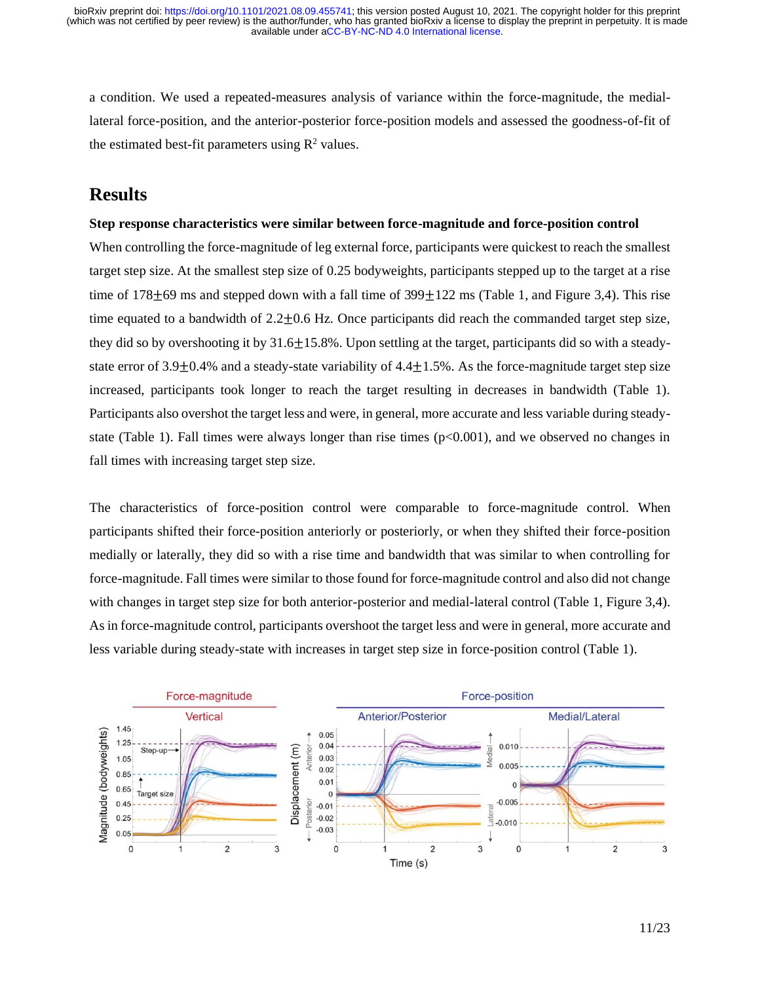a condition. We used a repeated-measures analysis of variance within the force-magnitude, the mediallateral force-position, and the anterior-posterior force-position models and assessed the goodness-of-fit of the estimated best-fit parameters using  $\mathbb{R}^2$  values.

## **Results**

#### **Step response characteristics were similar between force-magnitude and force-position control**

When controlling the force-magnitude of leg external force, participants were quickest to reach the smallest target step size. At the smallest step size of 0.25 bodyweights, participants stepped up to the target at a rise time of  $178\pm69$  ms and stepped down with a fall time of  $399\pm122$  ms (Table 1, and Figure 3,4). This rise time equated to a bandwidth of  $2.2 \pm 0.6$  Hz. Once participants did reach the commanded target step size, they did so by overshooting it by 31.6±15.8%. Upon settling at the target, participants did so with a steadystate error of 3.9 $\pm$ 0.4% and a steady-state variability of 4.4 $\pm$ 1.5%. As the force-magnitude target step size increased, participants took longer to reach the target resulting in decreases in bandwidth (Table 1). Participants also overshot the target less and were, in general, more accurate and less variable during steadystate (Table 1). Fall times were always longer than rise times (p<0.001), and we observed no changes in fall times with increasing target step size.

The characteristics of force-position control were comparable to force-magnitude control. When participants shifted their force-position anteriorly or posteriorly, or when they shifted their force-position medially or laterally, they did so with a rise time and bandwidth that was similar to when controlling for force-magnitude. Fall times were similar to those found for force-magnitude control and also did not change with changes in target step size for both anterior-posterior and medial-lateral control (Table 1, Figure 3,4). As in force-magnitude control, participants overshoot the target less and were in general, more accurate and less variable during steady-state with increases in target step size in force-position control (Table 1).

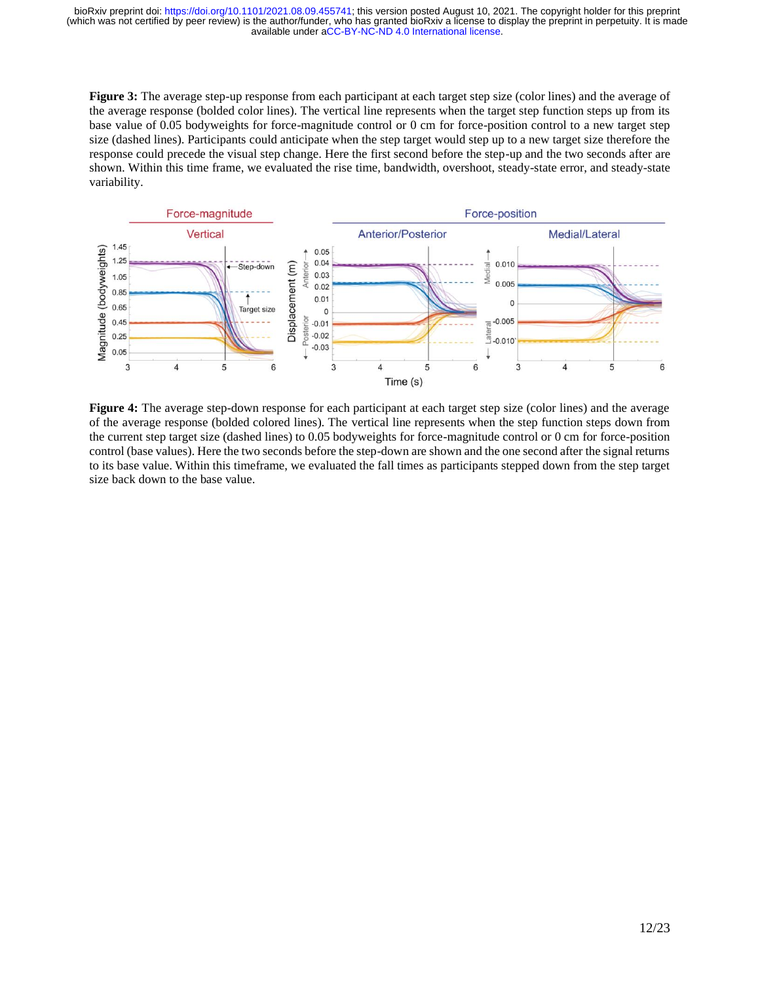**Figure 3:** The average step-up response from each participant at each target step size (color lines) and the average of the average response (bolded color lines). The vertical line represents when the target step function steps up from its base value of 0.05 bodyweights for force-magnitude control or 0 cm for force-position control to a new target step size (dashed lines). Participants could anticipate when the step target would step up to a new target size therefore the response could precede the visual step change. Here the first second before the step-up and the two seconds after are shown. Within this time frame, we evaluated the rise time, bandwidth, overshoot, steady-state error, and steady-state variability.



**Figure 4:** The average step-down response for each participant at each target step size (color lines) and the average of the average response (bolded colored lines). The vertical line represents when the step function steps down from the current step target size (dashed lines) to 0.05 bodyweights for force-magnitude control or 0 cm for force-position control (base values). Here the two seconds before the step-down are shown and the one second after the signal returns to its base value. Within this timeframe, we evaluated the fall times as participants stepped down from the step target size back down to the base value.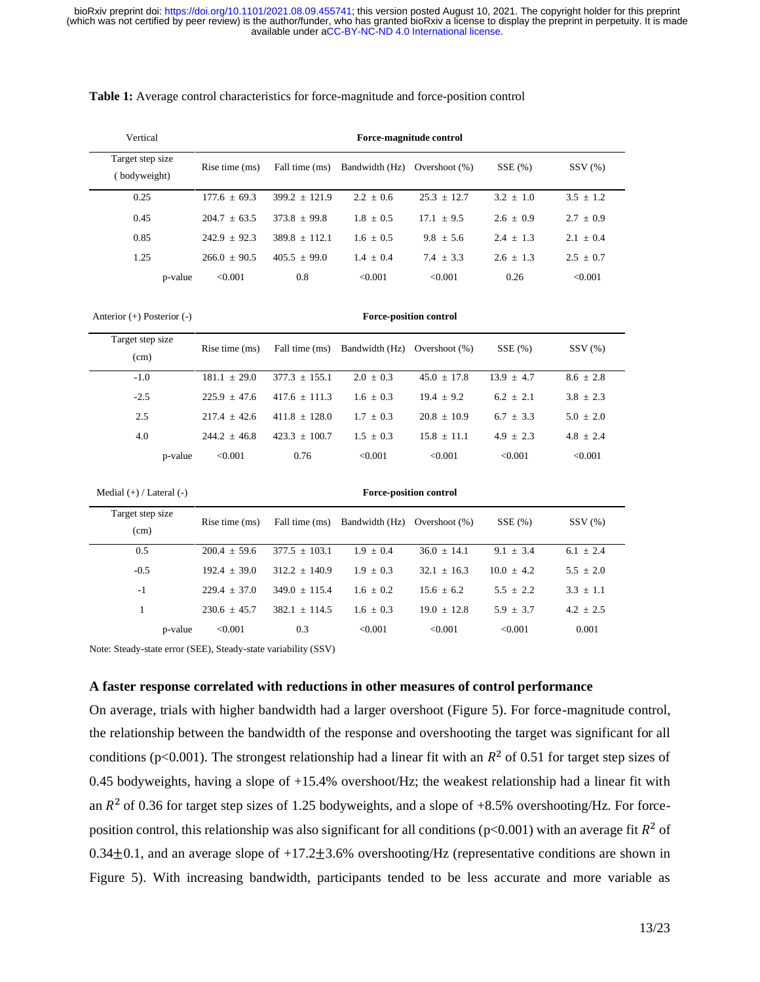| Vertical                         |         |                |                 |                | Force-magnitude control |             |             |
|----------------------------------|---------|----------------|-----------------|----------------|-------------------------|-------------|-------------|
| Target step size<br>(bodyweight) |         | Rise time (ms) | Fall time (ms)  | Bandwidth (Hz) | Overshoot $(\%)$        | SSE(%)      | SSV(%)      |
| 0.25                             |         | $177.6 + 69.3$ | $399.2 + 121.9$ | $2.2 + 0.6$    | $25.3 \pm 12.7$         | $3.2 + 1.0$ | $3.5 + 1.2$ |
| 0.45                             |         | $204.7 + 63.5$ | $373.8 + 99.8$  | $1.8 + 0.5$    | $17.1 + 9.5$            | $2.6 + 0.9$ | $2.7 + 0.9$ |
| 0.85                             |         | $242.9 + 92.3$ | $389.8 + 112.1$ | $1.6 + 0.5$    | $9.8 + 5.6$             | $2.4 + 1.3$ | $2.1 + 0.4$ |
| 1.25                             |         | $266.0 + 90.5$ | $405.5 + 99.0$  | $1.4 + 0.4$    | $7.4 + 3.3$             | $2.6 + 1.3$ | $2.5 + 0.7$ |
|                                  | p-value | < 0.001        | 0.8             | < 0.001        | < 0.001                 | 0.26        | < 0.001     |

#### **Table 1:** Average control characteristics for force-magnitude and force-position control

Anterior (+) Posterior (-) **Force-position control**

| Target step size<br>(cm) | Rise time $(ms)$   | Fall time (ms)  | Bandwidth (Hz) | Overshoot $(% )$ | SSE(%)       | SSV(%)        |
|--------------------------|--------------------|-----------------|----------------|------------------|--------------|---------------|
| $-1.0$                   | $181.1 + 29.0$     | $377.3 + 155.1$ | $2.0 + 0.3$    | $45.0 + 17.8$    | $13.9 + 4.7$ | $8.6 + 2.8$   |
| $-2.5$                   | $225.9 + 47.6$     | $417.6 + 111.3$ | $1.6 + 0.3$    | $19.4 + 9.2$     | $6.2 + 2.1$  | $3.8 + 2.3$   |
| 2.5                      | $217.4 + 42.6$     | $411.8 + 128.0$ | $1.7 + 0.3$    | $20.8 + 10.9$    | $6.7 + 3.3$  | $5.0 \pm 2.0$ |
| 4.0                      | $244.2 + 46.8$     | $423.3 + 100.7$ | $1.5 + 0.3$    | $15.8 + 11.1$    | $4.9 + 2.3$  | $4.8 + 2.4$   |
|                          | < 0.001<br>p-value | 0.76            | < 0.001        | < 0.001          | < 0.001      | < 0.001       |

```
Medial (+) / Lateral (-) Force-position control
```

| Target step size<br>(cm) |         | Rise time $(ms)$ | Fall time (ms)  | Bandwidth (Hz) Overshoot (%) |               | $SSE(\% )$    | SSV(%)        |
|--------------------------|---------|------------------|-----------------|------------------------------|---------------|---------------|---------------|
| 0.5                      |         | $200.4 + 59.6$   | $377.5 + 103.1$ | $1.9 + 0.4$                  | $36.0 + 14.1$ | $9.1 + 3.4$   | $6.1 + 2.4$   |
| $-0.5$                   |         | $192.4 + 39.0$   | $312.2 + 140.9$ | $1.9 \pm 0.3$                | $32.1 + 16.3$ | $10.0 + 4.2$  | $5.5 + 2.0$   |
| $-1$                     |         | $229.4 + 37.0$   | $349.0 + 115.4$ | $1.6 + 0.2$                  | $15.6 + 6.2$  | $5.5 + 2.2$   | $3.3 + 1.1$   |
|                          |         | $230.6 + 45.7$   | $382.1 + 114.5$ | $1.6 + 0.3$                  | $19.0 + 12.8$ | $5.9 \pm 3.7$ | $4.2 \pm 2.5$ |
|                          | p-value | < 0.001          | 0.3             | < 0.001                      | < 0.001       | < 0.001       | 0.001         |

Note: Steady-state error (SEE), Steady-state variability (SSV)

#### **A faster response correlated with reductions in other measures of control performance**

On average, trials with higher bandwidth had a larger overshoot (Figure 5). For force-magnitude control, the relationship between the bandwidth of the response and overshooting the target was significant for all conditions (p<0.001). The strongest relationship had a linear fit with an  $R^2$  of 0.51 for target step sizes of 0.45 bodyweights, having a slope of  $+15.4\%$  overshoot/Hz; the weakest relationship had a linear fit with an  $R^2$  of 0.36 for target step sizes of 1.25 bodyweights, and a slope of +8.5% overshooting/Hz. For forceposition control, this relationship was also significant for all conditions ( $p<0.001$ ) with an average fit  $R^2$  of 0.34 $\pm$ 0.1, and an average slope of +17.2 $\pm$ 3.6% overshooting/Hz (representative conditions are shown in Figure 5). With increasing bandwidth, participants tended to be less accurate and more variable as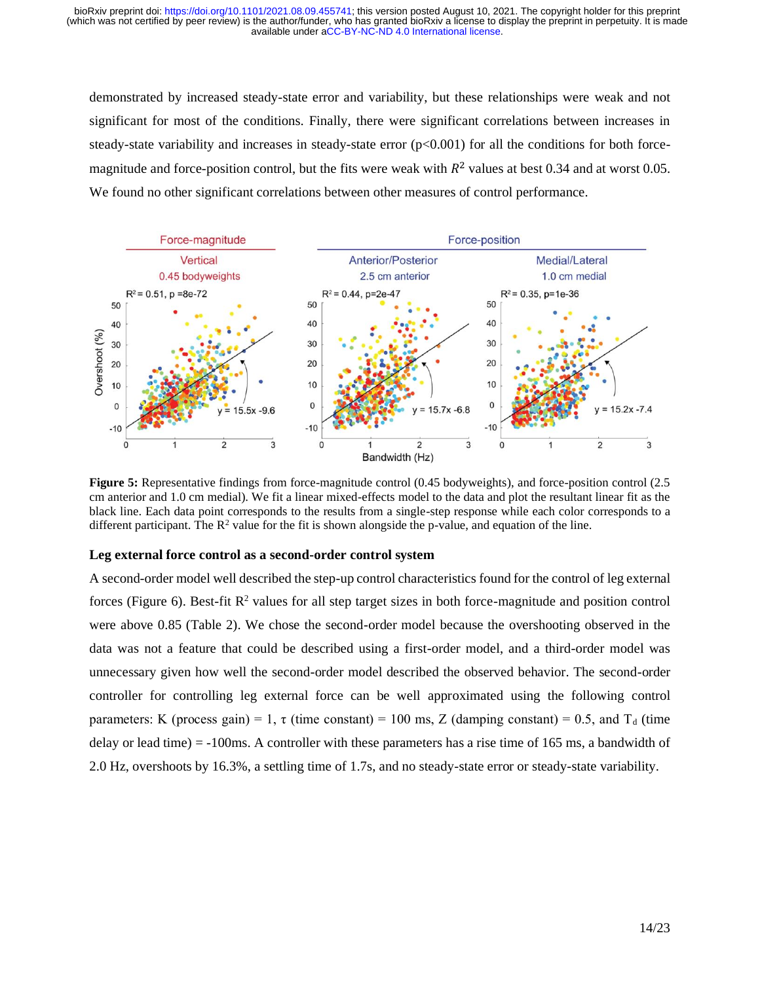demonstrated by increased steady-state error and variability, but these relationships were weak and not significant for most of the conditions. Finally, there were significant correlations between increases in steady-state variability and increases in steady-state error  $(p<0.001)$  for all the conditions for both forcemagnitude and force-position control, but the fits were weak with  $R^2$  values at best 0.34 and at worst 0.05. We found no other significant correlations between other measures of control performance.



**Figure 5:** Representative findings from force-magnitude control (0.45 bodyweights), and force-position control (2.5 cm anterior and 1.0 cm medial). We fit a linear mixed-effects model to the data and plot the resultant linear fit as the black line. Each data point corresponds to the results from a single-step response while each color corresponds to a different participant. The  $R^2$  value for the fit is shown alongside the p-value, and equation of the line.

#### **Leg external force control as a second-order control system**

A second-order model well described the step-up control characteristics found for the control of leg external forces (Figure 6). Best-fit  $\mathbb{R}^2$  values for all step target sizes in both force-magnitude and position control were above 0.85 (Table 2). We chose the second-order model because the overshooting observed in the data was not a feature that could be described using a first-order model, and a third-order model was unnecessary given how well the second-order model described the observed behavior. The second-order controller for controlling leg external force can be well approximated using the following control parameters: K (process gain) = 1,  $\tau$  (time constant) = 100 ms, Z (damping constant) = 0.5, and T<sub>d</sub> (time delay or lead time) = -100ms. A controller with these parameters has a rise time of 165 ms, a bandwidth of 2.0 Hz, overshoots by 16.3%, a settling time of 1.7s, and no steady-state error or steady-state variability.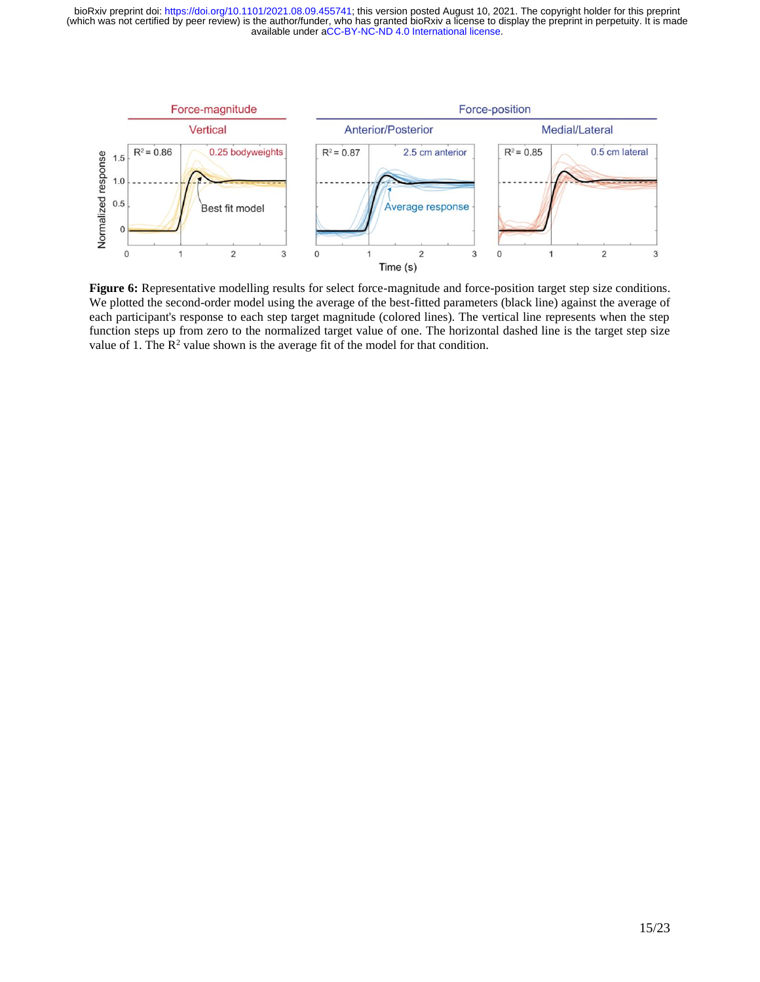

**Figure 6:** Representative modelling results for select force-magnitude and force-position target step size conditions. We plotted the second-order model using the average of the best-fitted parameters (black line) against the average of each participant's response to each step target magnitude (colored lines). The vertical line represents when the step function steps up from zero to the normalized target value of one. The horizontal dashed line is the target step size value of 1. The  $\mathbb{R}^2$  value shown is the average fit of the model for that condition.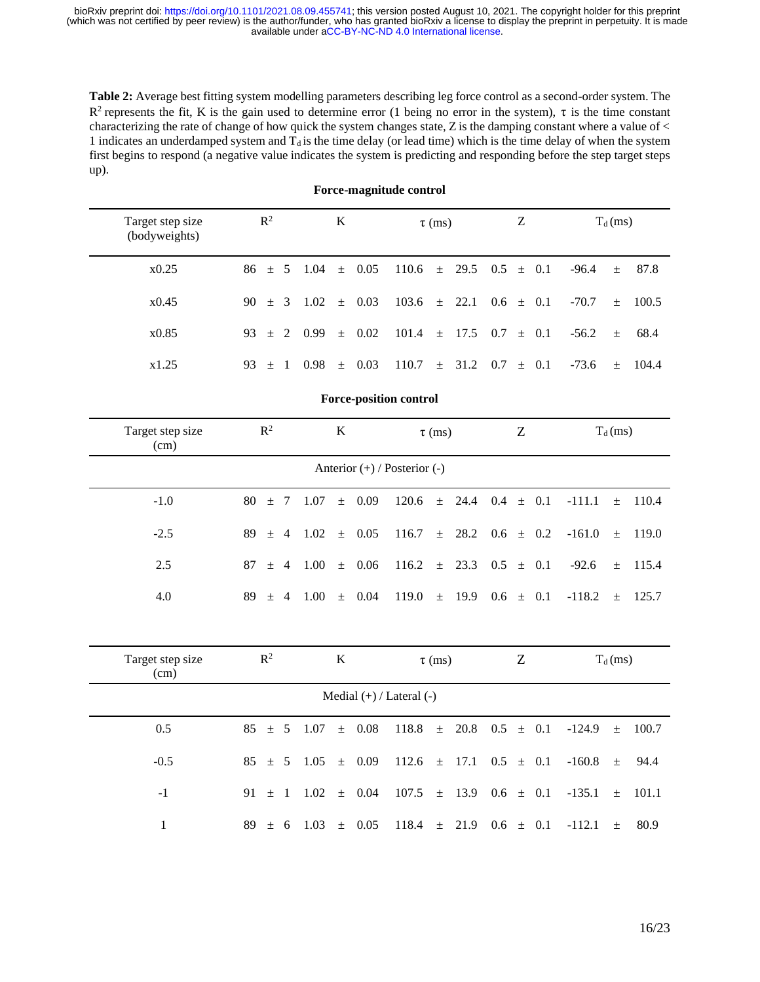**Table 2:** Average best fitting system modelling parameters describing leg force control as a second-order system. The R<sup>2</sup> represents the fit, K is the gain used to determine error (1 being no error in the system),  $\tau$  is the time constant characterizing the rate of change of how quick the system changes state,  $Z$  is the damping constant where a value of  $\lt$ 1 indicates an underdamped system and  $T_d$  is the time delay (or lead time) which is the time delay of when the system first begins to respond (a negative value indicates the system is predicting and responding before the step target steps up).

| Target step size<br>(bodyweights) | $\mathbb{R}^2$                | $\bf K$                       | $\tau$ (ms)            | Z                   | $T_d$ (ms)                 |  |  |  |
|-----------------------------------|-------------------------------|-------------------------------|------------------------|---------------------|----------------------------|--|--|--|
| x0.25                             | $\pm$ 5<br>86                 | 0.05<br>1.04<br>$\pm$         | 110.6<br>29.5<br>$\pm$ | 0.5<br>$\pm$ 0.1    | $-96.4$<br>87.8<br>$\pm$   |  |  |  |
| x0.45                             | 90<br>3<br>土                  | 1.02<br>0.03<br>$\pm$         | 22.1<br>103.6<br>$\pm$ | 0.6<br>0.1<br>$\pm$ | $-70.7$<br>100.5<br>$\pm$  |  |  |  |
| x0.85                             | 93<br>2<br>土                  | 0.99<br>0.02<br>$\pm$         | 101.4<br>17.5<br>$\pm$ | 0.7<br>0.1<br>$\pm$ | 68.4<br>$-56.2$<br>$\pm$   |  |  |  |
| x1.25                             | 93<br>-1<br>$\pm$             | 0.03<br>0.98<br>$\pm$         | 110.7<br>31.2<br>$\pm$ | 0.7<br>0.1<br>$\pm$ | $-73.6$<br>104.4<br>$\pm$  |  |  |  |
|                                   |                               | <b>Force-position control</b> |                        |                     |                            |  |  |  |
| Target step size<br>(cm)          | $\mathbb{R}^2$                | $\bf K$                       | $\tau$ (ms)            | Z                   | $T_d$ (ms)                 |  |  |  |
|                                   | Anterior (+) / Posterior (-)  |                               |                        |                     |                            |  |  |  |
| $-1.0$                            | 80<br>$\pm$ 7                 | 1.07<br>0.09<br>$\pm$         | 120.6<br>24.4<br>$\pm$ | 0.4<br>0.1<br>$\pm$ | 110.4<br>$-111.1$<br>$\pm$ |  |  |  |
| $-2.5$                            | 89<br>$\overline{4}$<br>$\pm$ | 1.02<br>0.05<br>$\pm$         | 116.7<br>28.2<br>$\pm$ | 0.6<br>0.2<br>$\pm$ | $-161.0$<br>119.0<br>$+$   |  |  |  |
| 2.5                               | 87<br>$\overline{4}$<br>$+$   | 1.00<br>0.06<br>$+$           | 23.3<br>116.2<br>$\pm$ | 0.5<br>0.1<br>$\pm$ | $-92.6$<br>115.4<br>$\pm$  |  |  |  |
| 4.0                               | 89<br>$\overline{4}$<br>$\pm$ | 1.00<br>0.04<br>$\pm$         | 119.0<br>19.9<br>$\pm$ | $0.6 \pm 0.1$       | $-118.2$<br>125.7<br>$\pm$ |  |  |  |
| Target step size                  | $\mathbb{R}^2$                | $\bf K$                       | $\tau$ (ms)            | Z                   | $T_d$ (ms)                 |  |  |  |
| (cm)                              |                               | Medial (+) / Lateral (-)      |                        |                     |                            |  |  |  |
|                                   |                               |                               |                        |                     |                            |  |  |  |
| 0.5                               | 85<br>± 5                     | 1.07<br>0.08<br>$\pm$         | 118.8<br>20.8<br>$\pm$ | 0.1<br>0.5<br>$\pm$ | 100.7<br>$-124.9$<br>$\pm$ |  |  |  |
| $-0.5$                            | 85<br>5<br>$\pm$              | 1.05<br>0.09<br>$\pm$         | 112.6<br>17.1<br>$\pm$ | 0.5<br>0.1<br>土     | $-160.8$<br>94.4<br>$\pm$  |  |  |  |
| $-1$                              | 91<br>-1<br>$\pm$             | 1.02<br>0.04<br>$\pm$         | 107.5<br>13.9<br>$\pm$ | $0.6\,$<br>0.1<br>土 | $-135.1$<br>101.1<br>$\pm$ |  |  |  |
| $\mathbf{1}$                      | 89<br>± 6                     | 1.03<br>0.05<br>$\pm$         | 118.4<br>21.9<br>$\pm$ | $0.6 \pm 0.1$       | $-112.1$<br>80.9<br>$\pm$  |  |  |  |

#### **Force-magnitude control**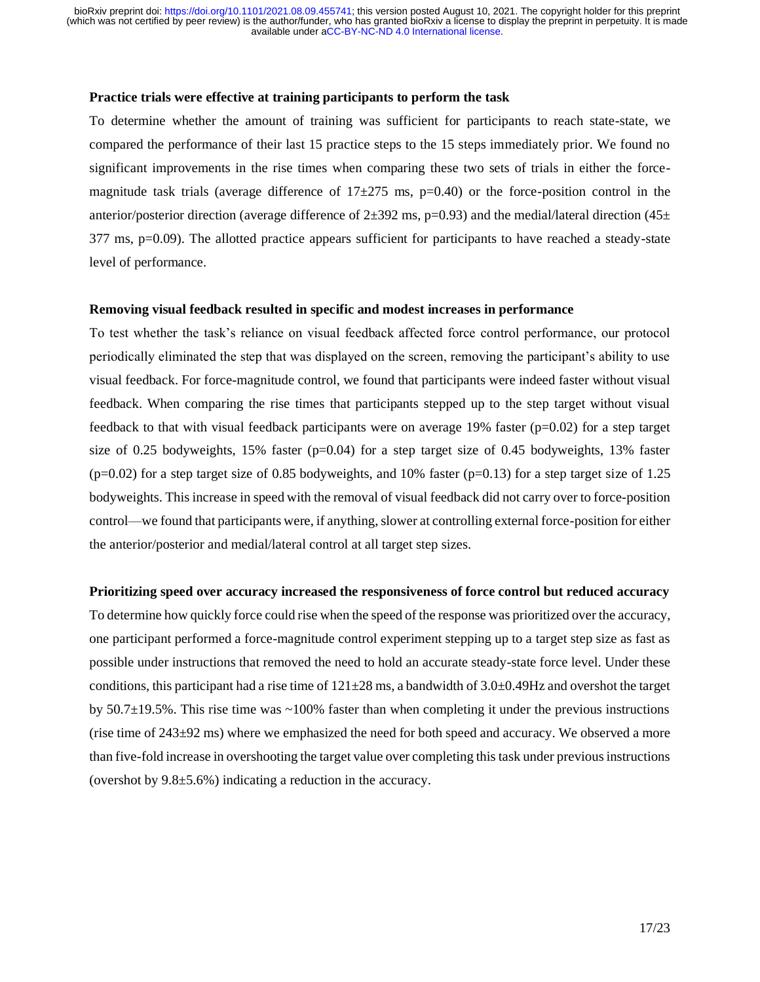#### **Practice trials were effective at training participants to perform the task**

To determine whether the amount of training was sufficient for participants to reach state-state, we compared the performance of their last 15 practice steps to the 15 steps immediately prior. We found no significant improvements in the rise times when comparing these two sets of trials in either the forcemagnitude task trials (average difference of  $17\pm275$  ms, p=0.40) or the force-position control in the anterior/posterior direction (average difference of  $2\pm 392$  ms, p=0.93) and the medial/lateral direction (45 $\pm$ 377 ms, p=0.09). The allotted practice appears sufficient for participants to have reached a steady-state level of performance.

#### **Removing visual feedback resulted in specific and modest increases in performance**

To test whether the task's reliance on visual feedback affected force control performance, our protocol periodically eliminated the step that was displayed on the screen, removing the participant's ability to use visual feedback. For force-magnitude control, we found that participants were indeed faster without visual feedback. When comparing the rise times that participants stepped up to the step target without visual feedback to that with visual feedback participants were on average 19% faster ( $p=0.02$ ) for a step target size of 0.25 bodyweights,  $15\%$  faster (p=0.04) for a step target size of 0.45 bodyweights,  $13\%$  faster  $(p=0.02)$  for a step target size of 0.85 bodyweights, and 10% faster  $(p=0.13)$  for a step target size of 1.25 bodyweights. This increase in speed with the removal of visual feedback did not carry over to force-position control—we found that participants were, if anything, slower at controlling external force-position for either the anterior/posterior and medial/lateral control at all target step sizes.

#### **Prioritizing speed over accuracy increased the responsiveness of force control but reduced accuracy**

To determine how quickly force could rise when the speed of the response was prioritized over the accuracy, one participant performed a force-magnitude control experiment stepping up to a target step size as fast as possible under instructions that removed the need to hold an accurate steady-state force level. Under these conditions, this participant had a rise time of  $121\pm28$  ms, a bandwidth of  $3.0\pm0.49$ Hz and overshot the target by 50.7±19.5%. This rise time was ~100% faster than when completing it under the previous instructions (rise time of  $243\pm92$  ms) where we emphasized the need for both speed and accuracy. We observed a more than five-fold increase in overshooting the target value over completing this task under previous instructions (overshot by 9.8±5.6%) indicating a reduction in the accuracy.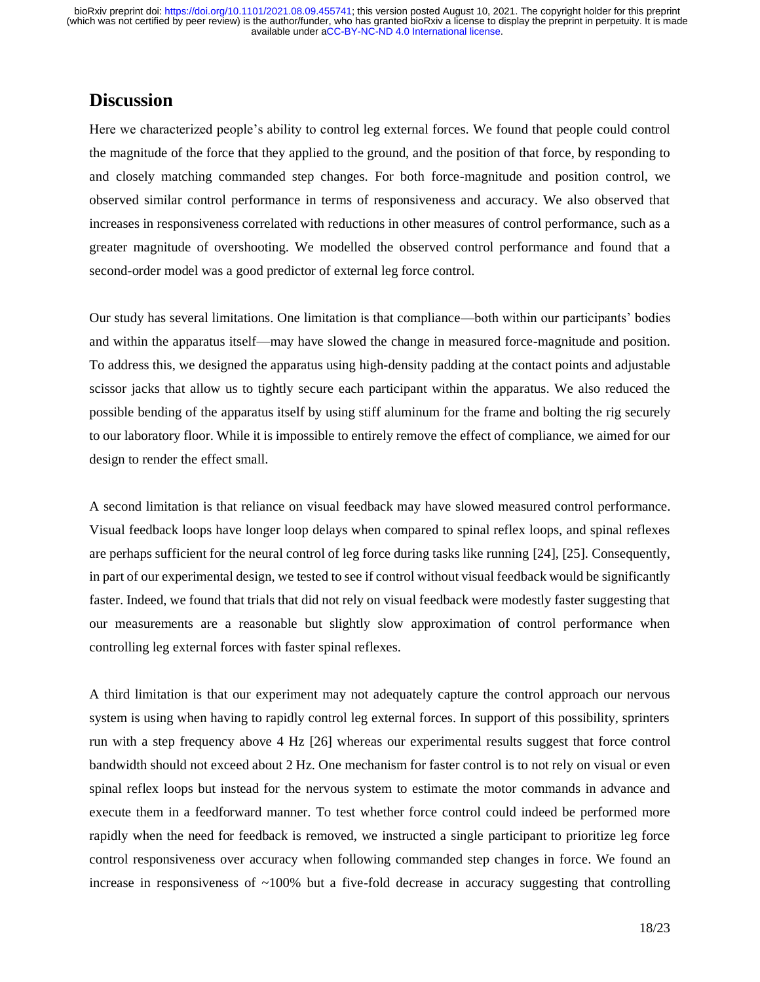# **Discussion**

Here we characterized people's ability to control leg external forces. We found that people could control the magnitude of the force that they applied to the ground, and the position of that force, by responding to and closely matching commanded step changes. For both force-magnitude and position control, we observed similar control performance in terms of responsiveness and accuracy. We also observed that increases in responsiveness correlated with reductions in other measures of control performance, such as a greater magnitude of overshooting. We modelled the observed control performance and found that a second-order model was a good predictor of external leg force control.

Our study has several limitations. One limitation is that compliance—both within our participants' bodies and within the apparatus itself—may have slowed the change in measured force-magnitude and position. To address this, we designed the apparatus using high-density padding at the contact points and adjustable scissor jacks that allow us to tightly secure each participant within the apparatus. We also reduced the possible bending of the apparatus itself by using stiff aluminum for the frame and bolting the rig securely to our laboratory floor. While it is impossible to entirely remove the effect of compliance, we aimed for our design to render the effect small.

A second limitation is that reliance on visual feedback may have slowed measured control performance. Visual feedback loops have longer loop delays when compared to spinal reflex loops, and spinal reflexes are perhaps sufficient for the neural control of leg force during tasks like running [\[24\], \[25\].](https://paperpile.com/c/pRstxb/8cPz+2tSQ) Consequently, in part of our experimental design, we tested to see if control without visual feedback would be significantly faster. Indeed, we found that trials that did not rely on visual feedback were modestly faster suggesting that our measurements are a reasonable but slightly slow approximation of control performance when controlling leg external forces with faster spinal reflexes.

A third limitation is that our experiment may not adequately capture the control approach our nervous system is using when having to rapidly control leg external forces. In support of this possibility, sprinters run with a step frequency above 4 Hz [\[26\]](https://paperpile.com/c/pRstxb/nW2d) whereas our experimental results suggest that force control bandwidth should not exceed about 2 Hz. One mechanism for faster control is to not rely on visual or even spinal reflex loops but instead for the nervous system to estimate the motor commands in advance and execute them in a feedforward manner. To test whether force control could indeed be performed more rapidly when the need for feedback is removed, we instructed a single participant to prioritize leg force control responsiveness over accuracy when following commanded step changes in force. We found an increase in responsiveness of  $\sim 100\%$  but a five-fold decrease in accuracy suggesting that controlling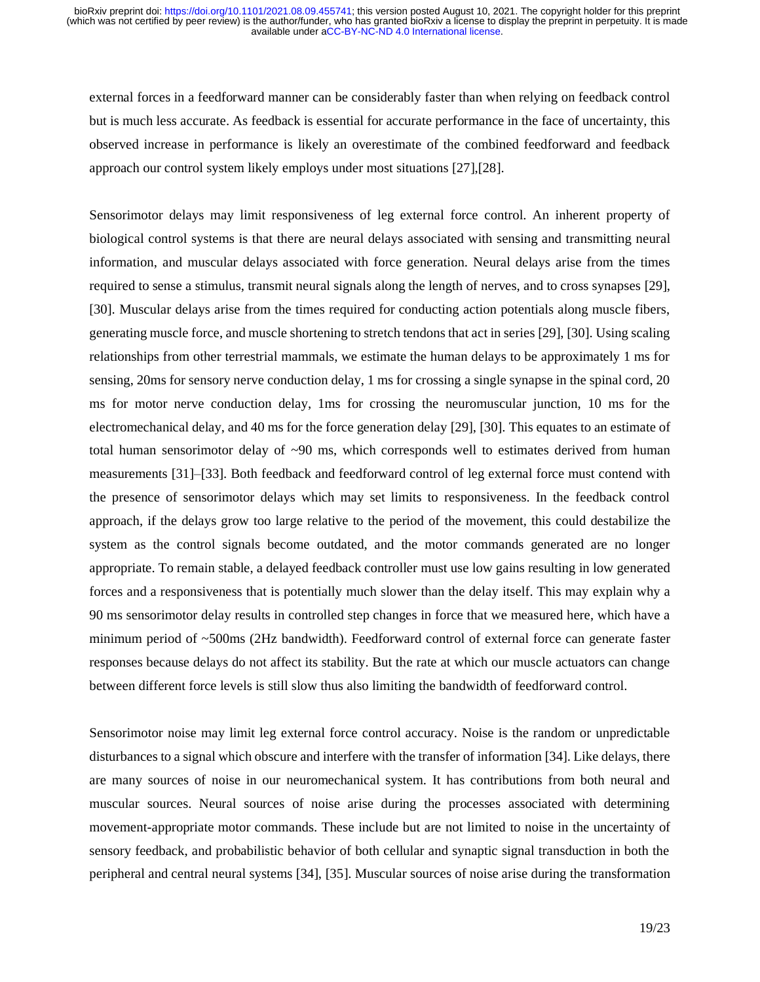external forces in a feedforward manner can be considerably faster than when relying on feedback control but is much less accurate. As feedback is essential for accurate performance in the face of uncertainty, this observed increase in performance is likely an overestimate of the combined feedforward and feedback approach our control system likely employs under most situations [\[27\]](https://paperpile.com/c/pRstxb/pzwf)[,\[28\].](https://paperpile.com/c/pRstxb/RL3WN)

Sensorimotor delays may limit responsiveness of leg external force control. An inherent property of biological control systems is that there are neural delays associated with sensing and transmitting neural information, and muscular delays associated with force generation. Neural delays arise from the times required to sense a stimulus, transmit neural signals along the length of nerves, and to cross synapses [\[29\],](https://paperpile.com/c/pRstxb/G86e+Uvf1)  [\[30\].](https://paperpile.com/c/pRstxb/G86e+Uvf1) Muscular delays arise from the times required for conducting action potentials along muscle fibers, generating muscle force, and muscle shortening to stretch tendons that act in serie[s \[29\], \[30\].](https://paperpile.com/c/pRstxb/G86e+Uvf1) Using scaling relationships from other terrestrial mammals, we estimate the human delays to be approximately 1 ms for sensing, 20ms for sensory nerve conduction delay, 1 ms for crossing a single synapse in the spinal cord, 20 ms for motor nerve conduction delay, 1ms for crossing the neuromuscular junction, 10 ms for the electromechanical delay, and 40 ms for the force generation delay [\[29\], \[30\].](https://paperpile.com/c/pRstxb/Uvf1+G86e) This equates to an estimate of total human sensorimotor delay of  $\sim 90$  ms, which corresponds well to estimates derived from human measurements [\[31\]–\[33\].](https://paperpile.com/c/pRstxb/9NlL+QcLA+GgKA) Both feedback and feedforward control of leg external force must contend with the presence of sensorimotor delays which may set limits to responsiveness. In the feedback control approach, if the delays grow too large relative to the period of the movement, this could destabilize the system as the control signals become outdated, and the motor commands generated are no longer appropriate. To remain stable, a delayed feedback controller must use low gains resulting in low generated forces and a responsiveness that is potentially much slower than the delay itself. This may explain why a 90 ms sensorimotor delay results in controlled step changes in force that we measured here, which have a minimum period of ~500ms (2Hz bandwidth). Feedforward control of external force can generate faster responses because delays do not affect its stability. But the rate at which our muscle actuators can change between different force levels is still slow thus also limiting the bandwidth of feedforward control.

Sensorimotor noise may limit leg external force control accuracy. Noise is the random or unpredictable disturbances to a signal which obscure and interfere with the transfer of information [\[34\].](https://paperpile.com/c/pRstxb/VUJ0) Like delays, there are many sources of noise in our neuromechanical system. It has contributions from both neural and muscular sources. Neural sources of noise arise during the processes associated with determining movement-appropriate motor commands. These include but are not limited to noise in the uncertainty of sensory feedback, and probabilistic behavior of both cellular and synaptic signal transduction in both the peripheral and central neural systems [\[34\], \[35\].](https://paperpile.com/c/pRstxb/VUJ0+9ORU) Muscular sources of noise arise during the transformation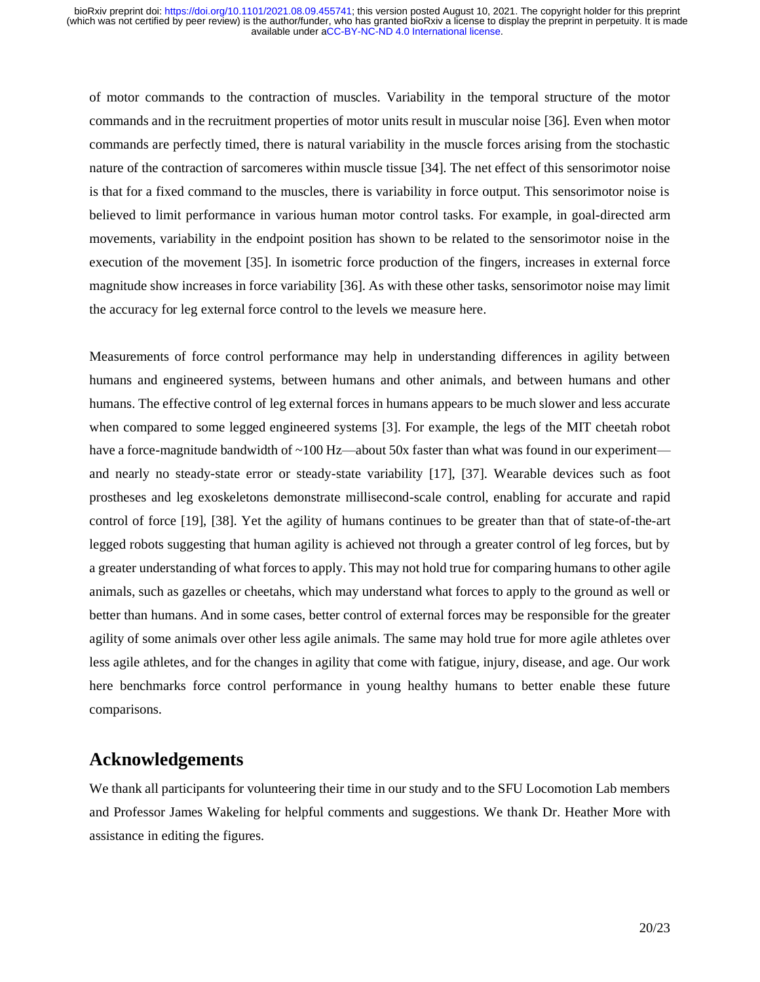of motor commands to the contraction of muscles. Variability in the temporal structure of the motor commands and in the recruitment properties of motor units result in muscular noise [\[36\].](https://paperpile.com/c/pRstxb/qWCI) Even when motor commands are perfectly timed, there is natural variability in the muscle forces arising from the stochastic nature of the contraction of sarcomeres within muscle tissue [\[34\].](https://paperpile.com/c/pRstxb/VUJ0) The net effect of this sensorimotor noise is that for a fixed command to the muscles, there is variability in force output. This sensorimotor noise is believed to limit performance in various human motor control tasks. For example, in goal-directed arm movements, variability in the endpoint position has shown to be related to the sensorimotor noise in the execution of the movement [\[35\].](https://paperpile.com/c/pRstxb/9ORU) In isometric force production of the fingers, increases in external force magnitude show increases in force variabilit[y \[36\].](https://paperpile.com/c/pRstxb/qWCI) As with these other tasks, sensorimotor noise may limit the accuracy for leg external force control to the levels we measure here.

Measurements of force control performance may help in understanding differences in agility between humans and engineered systems, between humans and other animals, and between humans and other humans. The effective control of leg external forces in humans appears to be much slower and less accurate when compared to some legged engineered systems [\[3\].](https://paperpile.com/c/pRstxb/b1W4) For example, the legs of the MIT cheetah robot have a force-magnitude bandwidth of ~100 Hz—about 50x faster than what was found in our experiment and nearly no steady-state error or steady-state variability [\[17\], \[37\].](https://paperpile.com/c/pRstxb/YEOq+yFobs) Wearable devices such as foot prostheses and leg exoskeletons demonstrate millisecond-scale control, enabling for accurate and rapid control of force [\[19\], \[38\].](https://paperpile.com/c/pRstxb/k9JV+vdj3) Yet the agility of humans continues to be greater than that of state-of-the-art legged robots suggesting that human agility is achieved not through a greater control of leg forces, but by a greater understanding of what forces to apply. This may not hold true for comparing humans to other agile animals, such as gazelles or cheetahs, which may understand what forces to apply to the ground as well or better than humans. And in some cases, better control of external forces may be responsible for the greater agility of some animals over other less agile animals. The same may hold true for more agile athletes over less agile athletes, and for the changes in agility that come with fatigue, injury, disease, and age. Our work here benchmarks force control performance in young healthy humans to better enable these future comparisons.

## **Acknowledgements**

We thank all participants for volunteering their time in our study and to the SFU Locomotion Lab members and Professor James Wakeling for helpful comments and suggestions. We thank Dr. Heather More with assistance in editing the figures.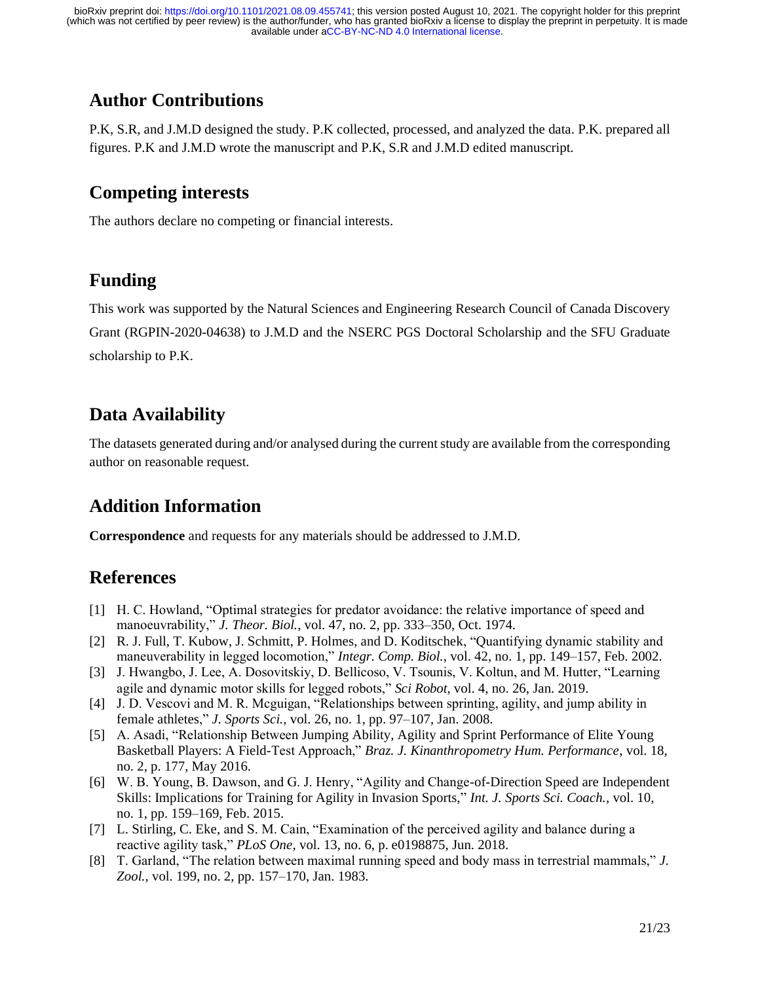# **Author Contributions**

P.K, S.R, and J.M.D designed the study. P.K collected, processed, and analyzed the data. P.K. prepared all figures. P.K and J.M.D wrote the manuscript and P.K, S.R and J.M.D edited manuscript.

# **Competing interests**

The authors declare no competing or financial interests.

# **Funding**

This work was supported by the Natural Sciences and Engineering Research Council of Canada Discovery Grant (RGPIN-2020-04638) to J.M.D and the NSERC PGS Doctoral Scholarship and the SFU Graduate scholarship to P.K.

# **Data Availability**

The datasets generated during and/or analysed during the current study are available from the corresponding author on reasonable request.

# **Addition Information**

**Correspondence** and requests for any materials should be addressed to J.M.D.

# **References**

- [1] [H. C. Howland, "Optimal strategies for predator avoidance: the relative importance of speed and](http://paperpile.com/b/pRstxb/h3o2)  [manoeuvrability,"](http://paperpile.com/b/pRstxb/h3o2) *[J. Theor. Biol.](http://paperpile.com/b/pRstxb/h3o2)*[, vol. 47, no. 2, pp. 333–350, Oct. 1974.](http://paperpile.com/b/pRstxb/h3o2)
- [2] [R. J. Full, T. Kubow, J. Schmitt, P. Holmes, and D. Koditschek, "Quantifying dynamic stability and](http://paperpile.com/b/pRstxb/6uCO)  [maneuverability in legged locomotion,"](http://paperpile.com/b/pRstxb/6uCO) *[Integr. Comp. Biol.](http://paperpile.com/b/pRstxb/6uCO)*[, vol. 42, no. 1, pp. 149–157, Feb. 2002.](http://paperpile.com/b/pRstxb/6uCO)
- [3] [J. Hwangbo, J. Lee, A. Dosovitskiy, D. Bellicoso, V. Tsounis, V. Koltun, and M. Hutter, "Learning](http://paperpile.com/b/pRstxb/b1W4)  [agile and dynamic motor skills for legged robots,"](http://paperpile.com/b/pRstxb/b1W4) *[Sci Robot](http://paperpile.com/b/pRstxb/b1W4)*[, vol. 4, no. 26, Jan. 2019.](http://paperpile.com/b/pRstxb/b1W4)
- [4] [J. D. Vescovi and M. R. Mcguigan, "Relationships between sprinting, agility, and jump ability in](http://paperpile.com/b/pRstxb/sf6r)  [female athletes,"](http://paperpile.com/b/pRstxb/sf6r) *[J. Sports Sci.](http://paperpile.com/b/pRstxb/sf6r)*[, vol. 26, no. 1, pp. 97–107, Jan. 2008.](http://paperpile.com/b/pRstxb/sf6r)
- [5] [A. Asadi, "Relationship Between Jumping Ability, Agility and Sprint Performance of Elite Young](http://paperpile.com/b/pRstxb/znxd)  [Basketball Players: A Field-Test Approach,"](http://paperpile.com/b/pRstxb/znxd) *[Braz. J. Kinanthropometry Hum. Performance](http://paperpile.com/b/pRstxb/znxd)*[, vol. 18,](http://paperpile.com/b/pRstxb/znxd)  [no. 2, p. 177, May 2016.](http://paperpile.com/b/pRstxb/znxd)
- [6] [W. B. Young, B. Dawson, and G. J. Henry, "Agility and Change-of-Direction Speed are Independent](http://paperpile.com/b/pRstxb/kLFU)  [Skills: Implications for Training for Agility in Invasion Sports,"](http://paperpile.com/b/pRstxb/kLFU) *[Int. J. Sports Sci. Coach.](http://paperpile.com/b/pRstxb/kLFU)*[, vol. 10,](http://paperpile.com/b/pRstxb/kLFU)  [no. 1, pp. 159–169, Feb. 2015.](http://paperpile.com/b/pRstxb/kLFU)
- [7] L. Stirling, C. Eke, [and S. M. Cain, "Examination of the perceived agility and balance during a](http://paperpile.com/b/pRstxb/caLR)  [reactive agility task,"](http://paperpile.com/b/pRstxb/caLR) *[PLoS One](http://paperpile.com/b/pRstxb/caLR)*[, vol. 13, no. 6, p. e0198875, Jun. 2018.](http://paperpile.com/b/pRstxb/caLR)
- [8] [T. Garland, "The relation between maximal running speed and body mass in terrestrial mammals,"](http://paperpile.com/b/pRstxb/dvbv) *[J.](http://paperpile.com/b/pRstxb/dvbv)  [Zool.](http://paperpile.com/b/pRstxb/dvbv)*[, vol. 199, no. 2, pp. 157–170, Jan. 1983.](http://paperpile.com/b/pRstxb/dvbv)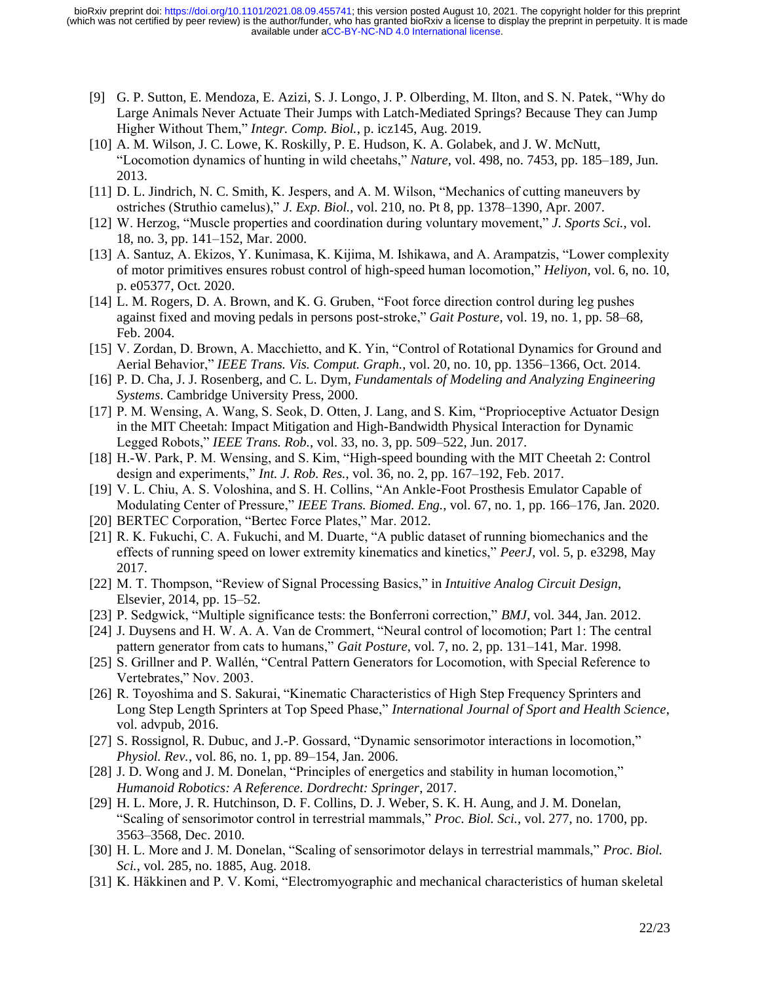- [9] G. P. Sutton, E. Mendoza, E. Azizi, S. J. [Longo, J. P. Olberding, M. Ilton, and S. N. Patek, "Why do](http://paperpile.com/b/pRstxb/QxtF)  [Large Animals Never Actuate Their Jumps with Latch-Mediated Springs? Because They can Jump](http://paperpile.com/b/pRstxb/QxtF)  [Higher Without Them,"](http://paperpile.com/b/pRstxb/QxtF) *[Integr. Comp. Biol.](http://paperpile.com/b/pRstxb/QxtF)*[, p. icz145, Aug. 2019.](http://paperpile.com/b/pRstxb/QxtF)
- [10] A. M. Wilson, J. C. Lowe, K. Roskilly, P. E. Hudson, K. A. Golabek, and J. W. McNutt, ["Locomotion dynamics of hunting in wild cheetahs,"](http://paperpile.com/b/pRstxb/dimd) *[Nature](http://paperpile.com/b/pRstxb/dimd)*[, vol. 498, no. 7453, pp. 185–189, Jun.](http://paperpile.com/b/pRstxb/dimd)  [2013.](http://paperpile.com/b/pRstxb/dimd)
- [11] [D. L. Jindrich, N. C. Smith, K. Jespers, and A. M. Wilson, "Mechanics of cutting maneuvers by](http://paperpile.com/b/pRstxb/XUmf)  [ostriches \(Struthio camelus\),"](http://paperpile.com/b/pRstxb/XUmf) *[J. Exp. Biol.](http://paperpile.com/b/pRstxb/XUmf)*[, vol. 210, no. Pt 8, pp. 1378–1390, Apr. 2007.](http://paperpile.com/b/pRstxb/XUmf)
- [12] [W. Herzog, "Muscle properties and coordination during voluntary movement,"](http://paperpile.com/b/pRstxb/CPM9) *[J. Sports Sci.](http://paperpile.com/b/pRstxb/CPM9)*[, vol.](http://paperpile.com/b/pRstxb/CPM9)  [18, no. 3, pp. 141–152, Mar. 2000.](http://paperpile.com/b/pRstxb/CPM9)
- [13] [A. Santuz, A. Ekizos, Y. Kunimasa, K. Kijima, M. Ishikawa, and A. Arampatzis, "Lower complexity](http://paperpile.com/b/pRstxb/rA8z)  [of motor primitives ensures robust control of high-speed human locomotion,"](http://paperpile.com/b/pRstxb/rA8z) *[Heliyon](http://paperpile.com/b/pRstxb/rA8z)*[, vol. 6, no. 10,](http://paperpile.com/b/pRstxb/rA8z)  [p. e05377, Oct. 2020.](http://paperpile.com/b/pRstxb/rA8z)
- [14] L. M. Rogers, D. [A. Brown, and K. G. Gruben, "Foot force direction control during leg pushes](http://paperpile.com/b/pRstxb/60wC)  [against fixed and moving pedals in persons post-stroke,"](http://paperpile.com/b/pRstxb/60wC) *[Gait Posture](http://paperpile.com/b/pRstxb/60wC)*[, vol. 19, no. 1, pp. 58–68,](http://paperpile.com/b/pRstxb/60wC)  [Feb. 2004.](http://paperpile.com/b/pRstxb/60wC)
- [15] V. Zordan, D. Brown, A. Macchietto, and K. Yin, "Control of Rotational Dynamics for Ground and [Aerial Behavior,"](http://paperpile.com/b/pRstxb/kaNP) *[IEEE Trans. Vis. Comput. Graph.](http://paperpile.com/b/pRstxb/kaNP)*[, vol. 20, no. 10, pp. 1356–1366, Oct. 2014.](http://paperpile.com/b/pRstxb/kaNP)
- [16] [P. D. Cha, J. J. Rosenberg, and C. L. Dym,](http://paperpile.com/b/pRstxb/ekc5) *[Fundamentals of Modeling and Analyzing Engineering](http://paperpile.com/b/pRstxb/ekc5)  [Systems](http://paperpile.com/b/pRstxb/ekc5)*[. Cambridge University Press, 2000.](http://paperpile.com/b/pRstxb/ekc5)
- [17] [P. M. Wensing, A. Wang, S. Seok, D. Otten, J. Lang, and S. Kim, "Proprioceptive Actuator Design](http://paperpile.com/b/pRstxb/yFobs)  [in the MIT Cheetah: Impact Mitigation and High-Bandwidth Physical Interaction for Dynamic](http://paperpile.com/b/pRstxb/yFobs)  [Legged Robots,"](http://paperpile.com/b/pRstxb/yFobs) *[IEEE Trans. Rob.](http://paperpile.com/b/pRstxb/yFobs)*[, vol. 33, no. 3, pp. 509–522, Jun. 2017.](http://paperpile.com/b/pRstxb/yFobs)
- [18] [H.-W. Park, P. M. Wensing, and S. Kim, "High-speed bounding with the MIT Cheetah 2: Control](http://paperpile.com/b/pRstxb/JxKz)  [design and experiments,"](http://paperpile.com/b/pRstxb/JxKz) *[Int. J. Rob. Res.](http://paperpile.com/b/pRstxb/JxKz)*[, vol. 36, no. 2, pp. 167–192, Feb. 2017.](http://paperpile.com/b/pRstxb/JxKz)
- [19] [V. L. Chiu, A. S. Voloshina, and S. H. Collins, "An Ankle-Foot Prosthesis Emulator Capable of](http://paperpile.com/b/pRstxb/vdj3)  [Modulating Center of Pressure,"](http://paperpile.com/b/pRstxb/vdj3) *[IEEE Trans. Biomed. Eng.](http://paperpile.com/b/pRstxb/vdj3)*[, vol. 67, no. 1, pp. 166–176, Jan. 2020.](http://paperpile.com/b/pRstxb/vdj3)
- [20] [BERTEC Corporation, "Bertec Force Plates," Mar.](http://paperpile.com/b/pRstxb/pO7ox) 2012.
- [21] [R. K. Fukuchi, C. A. Fukuchi, and M. Duarte, "A public dataset of running biomechanics and the](http://paperpile.com/b/pRstxb/itxyM)  [effects of running speed on lower extremity kinematics and kinetics,"](http://paperpile.com/b/pRstxb/itxyM) *[PeerJ](http://paperpile.com/b/pRstxb/itxyM)*[, vol. 5, p. e3298, May](http://paperpile.com/b/pRstxb/itxyM)  [2017.](http://paperpile.com/b/pRstxb/itxyM)
- [22] [M. T. Thompson, "Review of Signal Processing Basics,"](http://paperpile.com/b/pRstxb/HARV5) in *[Intuitive Analog Circuit Design](http://paperpile.com/b/pRstxb/HARV5)*[,](http://paperpile.com/b/pRstxb/HARV5)  [Elsevier, 2014, pp. 15–52.](http://paperpile.com/b/pRstxb/HARV5)
- [23] [P. Sedgwick, "Multiple significance tests: the Bonferroni correction,"](http://paperpile.com/b/pRstxb/NvAH) *[BMJ](http://paperpile.com/b/pRstxb/NvAH)*[, vol. 344, Jan. 2012.](http://paperpile.com/b/pRstxb/NvAH)
- [24] [J. Duysens and H. W. A. A. Van de Crommert, "Neural control of locomotion; Part 1: The central](http://paperpile.com/b/pRstxb/8cPz)  [pattern generator from cats to humans,"](http://paperpile.com/b/pRstxb/8cPz) *[Gait Posture](http://paperpile.com/b/pRstxb/8cPz)*, vol. 7, no. 2, [pp. 131–141, Mar. 1998.](http://paperpile.com/b/pRstxb/8cPz)
- [25] [S. Grillner and P. Wallén, "Central Pattern Generators for Locomotion, with Special Reference to](http://paperpile.com/b/pRstxb/2tSQ)  [Vertebrates," Nov. 2003.](http://paperpile.com/b/pRstxb/2tSQ)
- [26] [R. Toyoshima and S. Sakurai, "Kinematic Characteristics of High Step Frequency Sprinters and](http://paperpile.com/b/pRstxb/nW2d)  [Long Step Length Sprinters at Top Speed Phase,"](http://paperpile.com/b/pRstxb/nW2d) *[International Journal of Sport and Health Science](http://paperpile.com/b/pRstxb/nW2d)*[,](http://paperpile.com/b/pRstxb/nW2d)  [vol. advpub, 2016.](http://paperpile.com/b/pRstxb/nW2d)
- [27] [S. Rossignol, R. Dubuc, and J.-P. Gossard, "Dynamic sensorimotor interactions in locomotion,"](http://paperpile.com/b/pRstxb/pzwf)  *[Physiol. Rev.](http://paperpile.com/b/pRstxb/pzwf)*[, vol. 86, no. 1, pp. 89–154, Jan. 2006.](http://paperpile.com/b/pRstxb/pzwf)
- [28] [J. D. Wong and J. M. Donelan, "Principles of energetics and stability in human locomotion,"](http://paperpile.com/b/pRstxb/RL3WN)  *[Humanoid Robotics: A Reference. Dordrecht: Springer](http://paperpile.com/b/pRstxb/RL3WN)*[, 2017.](http://paperpile.com/b/pRstxb/RL3WN)
- [29] [H. L. More, J. R. Hutchinson, D. F. Collins, D. J. Weber, S. K. H. Aung, and J. M. Donelan,](http://paperpile.com/b/pRstxb/G86e)  ["Scaling of sensorimotor control in terrestrial mammals,"](http://paperpile.com/b/pRstxb/G86e) *[Proc. Biol. Sci.](http://paperpile.com/b/pRstxb/G86e)*[, vol. 277, no. 1700, pp.](http://paperpile.com/b/pRstxb/G86e)  [3563–3568, Dec. 2010.](http://paperpile.com/b/pRstxb/G86e)
- [30] [H. L. More and J. M. Donelan, "Scaling of sensorimotor delays in terrestrial mammals,"](http://paperpile.com/b/pRstxb/Uvf1) *[Proc. Biol.](http://paperpile.com/b/pRstxb/Uvf1)  [Sci.](http://paperpile.com/b/pRstxb/Uvf1)*[, vol. 285, no. 1885, Aug. 2018.](http://paperpile.com/b/pRstxb/Uvf1)
- [31] [K. Häkkinen and P. V. Komi, "Electromyographic and mechanical characteristics of human skeletal](http://paperpile.com/b/pRstxb/9NlL)